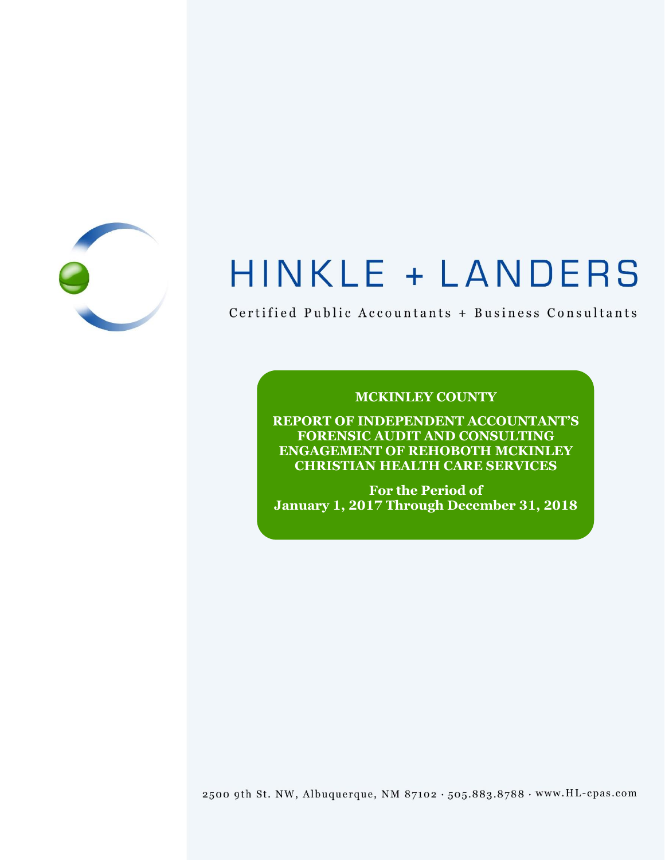

# HINKLE + LANDERS

Certified Public Accountants + Business Consultants

## **MCKINLEY COUNTY**

**REPORT OF INDEPENDENT ACCOUNTANT'S FORENSIC AUDIT AND CONSULTING ENGAGEMENT OF REHOBOTH MCKINLEY CHRISTIAN HEALTH CARE SERVICES**

**For the Period of January 1, 2017 Through December 31, 2018**

2500 9th St. NW, Albuquerque, NM 87102 . 505.883.8788 . www.HL-cpas.com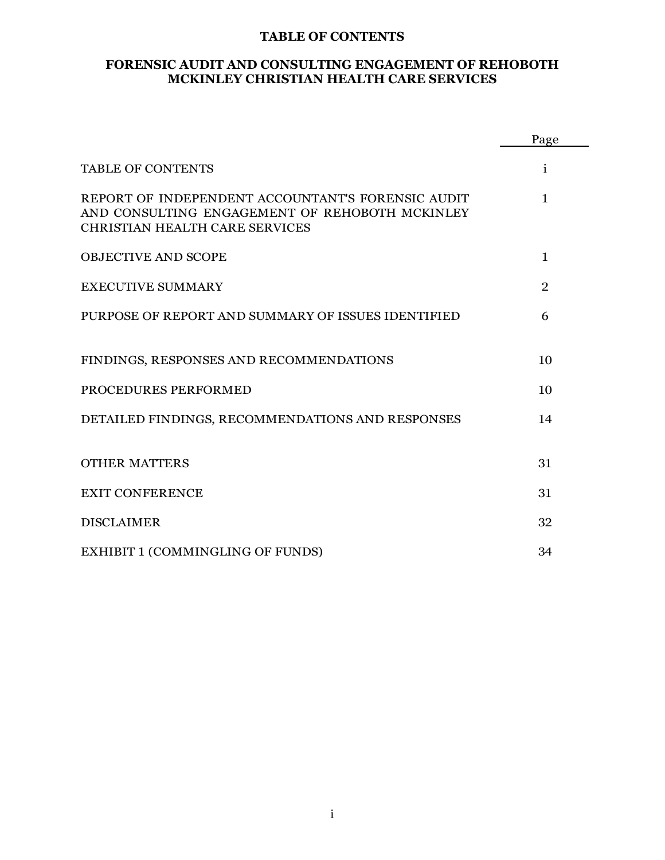#### **TABLE OF CONTENTS**

#### **FORENSIC AUDIT AND CONSULTING ENGAGEMENT OF REHOBOTH MCKINLEY CHRISTIAN HEALTH CARE SERVICES**

|                                                                                                                                       | Page           |
|---------------------------------------------------------------------------------------------------------------------------------------|----------------|
| <b>TABLE OF CONTENTS</b>                                                                                                              | i              |
| REPORT OF INDEPENDENT ACCOUNTANT'S FORENSIC AUDIT<br>AND CONSULTING ENGAGEMENT OF REHOBOTH MCKINLEY<br>CHRISTIAN HEALTH CARE SERVICES | $\mathbf{1}$   |
| <b>OBJECTIVE AND SCOPE</b>                                                                                                            | 1              |
| <b>EXECUTIVE SUMMARY</b>                                                                                                              | $\overline{2}$ |
| PURPOSE OF REPORT AND SUMMARY OF ISSUES IDENTIFIED                                                                                    | 6              |
| FINDINGS, RESPONSES AND RECOMMENDATIONS                                                                                               | 10             |
| PROCEDURES PERFORMED                                                                                                                  | 10             |
| DETAILED FINDINGS, RECOMMENDATIONS AND RESPONSES                                                                                      | 14             |
| <b>OTHER MATTERS</b>                                                                                                                  | 31             |
| <b>EXIT CONFERENCE</b>                                                                                                                | 31             |
| <b>DISCLAIMER</b>                                                                                                                     | 32             |
| <b>EXHIBIT 1 (COMMINGLING OF FUNDS)</b>                                                                                               | 34             |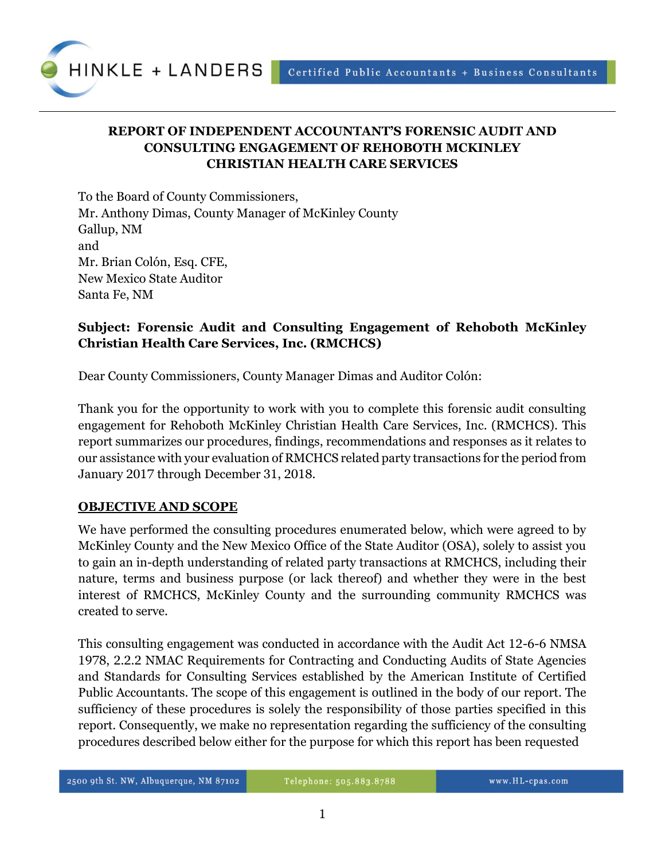

## **REPORT OF INDEPENDENT ACCOUNTANT'S FORENSIC AUDIT AND CONSULTING ENGAGEMENT OF REHOBOTH MCKINLEY CHRISTIAN HEALTH CARE SERVICES**

To the Board of County Commissioners, Mr. Anthony Dimas, County Manager of McKinley County Gallup, NM and Mr. Brian Colón, Esq. CFE, New Mexico State Auditor Santa Fe, NM

## **Subject: Forensic Audit and Consulting Engagement of Rehoboth McKinley Christian Health Care Services, Inc. (RMCHCS)**

Dear County Commissioners, County Manager Dimas and Auditor Colón:

Thank you for the opportunity to work with you to complete this forensic audit consulting engagement for Rehoboth McKinley Christian Health Care Services, Inc. (RMCHCS). This report summarizes our procedures, findings, recommendations and responses as it relates to our assistance with your evaluation of RMCHCS related party transactions for the period from January 2017 through December 31, 2018.

#### **OBJECTIVE AND SCOPE**

We have performed the consulting procedures enumerated below, which were agreed to by McKinley County and the New Mexico Office of the State Auditor (OSA), solely to assist you to gain an in-depth understanding of related party transactions at RMCHCS, including their nature, terms and business purpose (or lack thereof) and whether they were in the best interest of RMCHCS, McKinley County and the surrounding community RMCHCS was created to serve.

This consulting engagement was conducted in accordance with the Audit Act 12-6-6 NMSA 1978, 2.2.2 NMAC Requirements for Contracting and Conducting Audits of State Agencies and Standards for Consulting Services established by the American Institute of Certified Public Accountants. The scope of this engagement is outlined in the body of our report. The sufficiency of these procedures is solely the responsibility of those parties specified in this report. Consequently, we make no representation regarding the sufficiency of the consulting procedures described below either for the purpose for which this report has been requested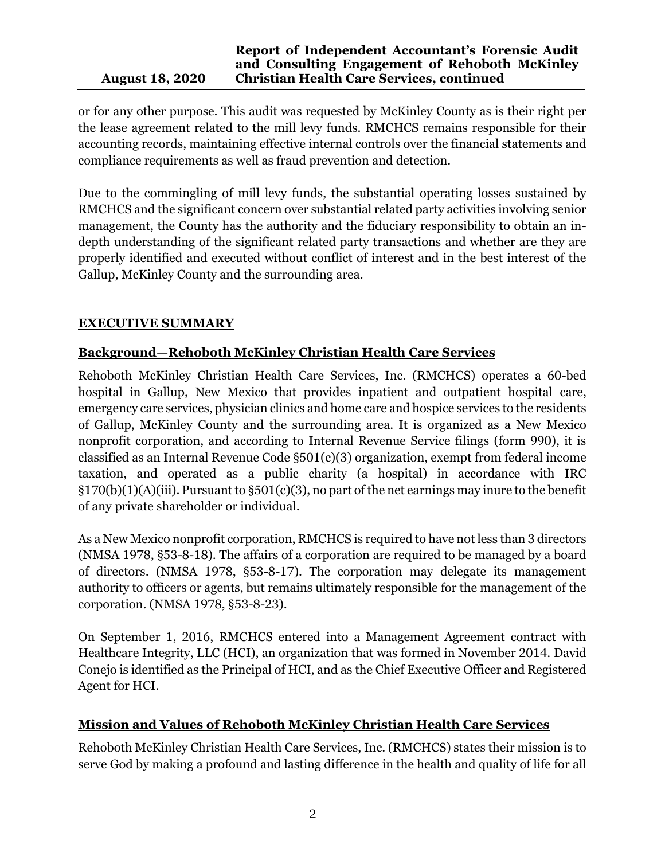#### **Report of Independent Accountant's Forensic Audit and Consulting Engagement of Rehoboth McKinley Christian Health Care Services, continued**

or for any other purpose. This audit was requested by McKinley County as is their right per the lease agreement related to the mill levy funds. RMCHCS remains responsible for their accounting records, maintaining effective internal controls over the financial statements and compliance requirements as well as fraud prevention and detection.

Due to the commingling of mill levy funds, the substantial operating losses sustained by RMCHCS and the significant concern over substantial related party activities involving senior management, the County has the authority and the fiduciary responsibility to obtain an indepth understanding of the significant related party transactions and whether are they are properly identified and executed without conflict of interest and in the best interest of the Gallup, McKinley County and the surrounding area.

## **EXECUTIVE SUMMARY**

## **Background—Rehoboth McKinley Christian Health Care Services**

Rehoboth McKinley Christian Health Care Services, Inc. (RMCHCS) operates a 60-bed hospital in Gallup, New Mexico that provides inpatient and outpatient hospital care, emergency care services, physician clinics and home care and hospice services to the residents of Gallup, McKinley County and the surrounding area. It is organized as a New Mexico nonprofit corporation, and according to Internal Revenue Service filings (form 990), it is classified as an Internal Revenue Code §501(c)(3) organization, exempt from federal income taxation, and operated as a public charity (a hospital) in accordance with IRC §170(b)(1)(A)(iii). Pursuant to §501(c)(3), no part of the net earnings may inure to the benefit of any private shareholder or individual.

As a New Mexico nonprofit corporation, RMCHCS is required to have not less than 3 directors (NMSA 1978, §53-8-18). The affairs of a corporation are required to be managed by a board of directors. (NMSA 1978, §53-8-17). The corporation may delegate its management authority to officers or agents, but remains ultimately responsible for the management of the corporation. (NMSA 1978, §53-8-23).

On September 1, 2016, RMCHCS entered into a Management Agreement contract with Healthcare Integrity, LLC (HCI), an organization that was formed in November 2014. David Conejo is identified as the Principal of HCI, and as the Chief Executive Officer and Registered Agent for HCI.

#### **Mission and Values of Rehoboth McKinley Christian Health Care Services**

Rehoboth McKinley Christian Health Care Services, Inc. (RMCHCS) states their mission is to serve God by making a profound and lasting difference in the health and quality of life for all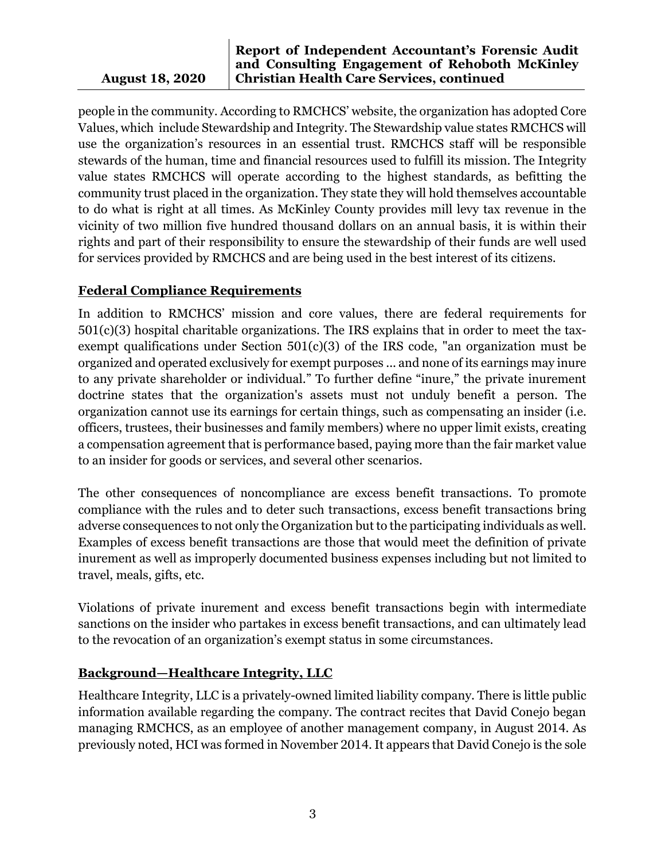#### **Report of Independent Accountant's Forensic Audit and Consulting Engagement of Rehoboth McKinley Christian Health Care Services, continued**

people in the community. According to RMCHCS' website, the organization has adopted Core Values, which include Stewardship and Integrity. The Stewardship value states RMCHCS will use the organization's resources in an essential trust. RMCHCS staff will be responsible stewards of the human, time and financial resources used to fulfill its mission. The Integrity value states RMCHCS will operate according to the highest standards, as befitting the community trust placed in the organization. They state they will hold themselves accountable to do what is right at all times. As McKinley County provides mill levy tax revenue in the vicinity of two million five hundred thousand dollars on an annual basis, it is within their rights and part of their responsibility to ensure the stewardship of their funds are well used for services provided by RMCHCS and are being used in the best interest of its citizens.

## **Federal Compliance Requirements**

In addition to RMCHCS' mission and core values, there are federal requirements for 501(c)(3) hospital charitable organizations. The IRS explains that in order to meet the taxexempt qualifications under Section 501(c)(3) of the IRS code, "an organization must be [organized](https://www.irs.gov/charities-non-profits/charitable-organizations/organizational-test-internal-revenue-code-section-501c3) and [operated](https://www.irs.gov/charities-non-profits/charitable-organizations/operational-test-internal-revenue-code-section-501c3) exclusively for [exempt purposes](https://www.irs.gov/charities-non-profits/charitable-organizations/exempt-purposes-internal-revenue-code-section-501c3) ... and none of its earnings may [inure](https://www.irs.gov/charities-non-profits/charitable-organizations/inurement-private-benefit-charitable-organizations) to any private shareholder or individual." To further define "inure," the private inurement doctrine states that the organization's assets must not unduly benefit a person. The organization cannot use its earnings for certain things, such as compensating an insider (i.e. officers, trustees, their businesses and family members) where no upper limit exists, creating a compensation agreement that is performance based, paying more than the fair market value to an insider for goods or services, and several other scenarios.

The other consequences of noncompliance are excess benefit transactions. To promote compliance with the rules and to deter such transactions, excess benefit transactions bring adverse consequences to not only the Organization but to the participating individuals as well. Examples of excess benefit transactions are those that would meet the definition of private inurement as well as improperly documented business expenses including but not limited to travel, meals, gifts, etc.

Violations of private inurement and excess benefit transactions begin with intermediate sanctions on the insider who partakes in excess benefit transactions, and can ultimately lead to the revocation of an organization's exempt status in some circumstances.

## **Background—Healthcare Integrity, LLC**

Healthcare Integrity, LLC is a privately-owned limited liability company. There is little public information available regarding the company. The contract recites that David Conejo began managing RMCHCS, as an employee of another management company, in August 2014. As previously noted, HCI was formed in November 2014. It appears that David Conejo is the sole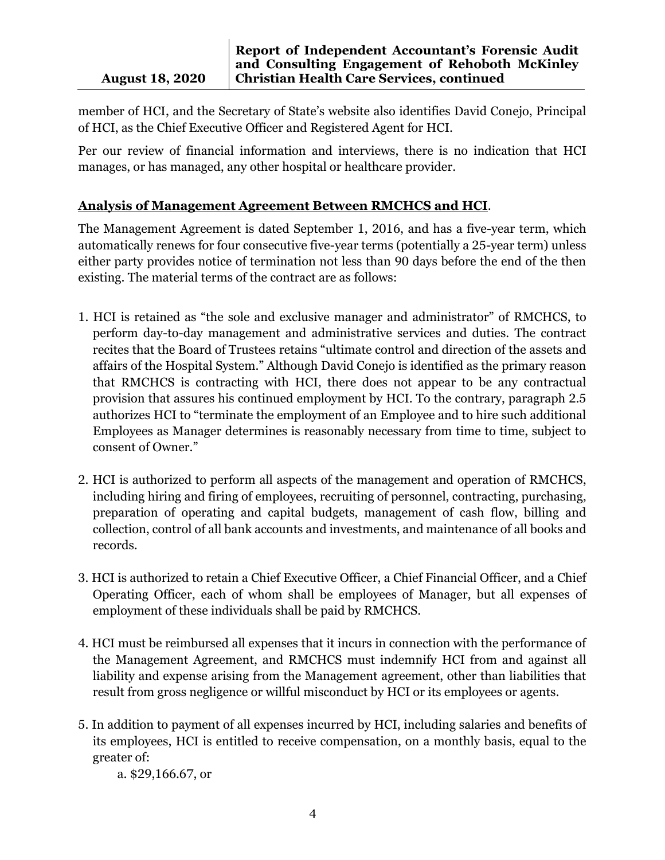member of HCI, and the Secretary of State's website also identifies David Conejo, Principal of HCI, as the Chief Executive Officer and Registered Agent for HCI.

Per our review of financial information and interviews, there is no indication that HCI manages, or has managed, any other hospital or healthcare provider.

## **Analysis of Management Agreement Between RMCHCS and HCI**.

The Management Agreement is dated September 1, 2016, and has a five-year term, which automatically renews for four consecutive five-year terms (potentially a 25-year term) unless either party provides notice of termination not less than 90 days before the end of the then existing. The material terms of the contract are as follows:

- 1. HCI is retained as "the sole and exclusive manager and administrator" of RMCHCS, to perform day-to-day management and administrative services and duties. The contract recites that the Board of Trustees retains "ultimate control and direction of the assets and affairs of the Hospital System." Although David Conejo is identified as the primary reason that RMCHCS is contracting with HCI, there does not appear to be any contractual provision that assures his continued employment by HCI. To the contrary, paragraph 2.5 authorizes HCI to "terminate the employment of an Employee and to hire such additional Employees as Manager determines is reasonably necessary from time to time, subject to consent of Owner."
- 2. HCI is authorized to perform all aspects of the management and operation of RMCHCS, including hiring and firing of employees, recruiting of personnel, contracting, purchasing, preparation of operating and capital budgets, management of cash flow, billing and collection, control of all bank accounts and investments, and maintenance of all books and records.
- 3. HCI is authorized to retain a Chief Executive Officer, a Chief Financial Officer, and a Chief Operating Officer, each of whom shall be employees of Manager, but all expenses of employment of these individuals shall be paid by RMCHCS.
- 4. HCI must be reimbursed all expenses that it incurs in connection with the performance of the Management Agreement, and RMCHCS must indemnify HCI from and against all liability and expense arising from the Management agreement, other than liabilities that result from gross negligence or willful misconduct by HCI or its employees or agents.
- 5. In addition to payment of all expenses incurred by HCI, including salaries and benefits of its employees, HCI is entitled to receive compensation, on a monthly basis, equal to the greater of:

a. \$29,166.67, or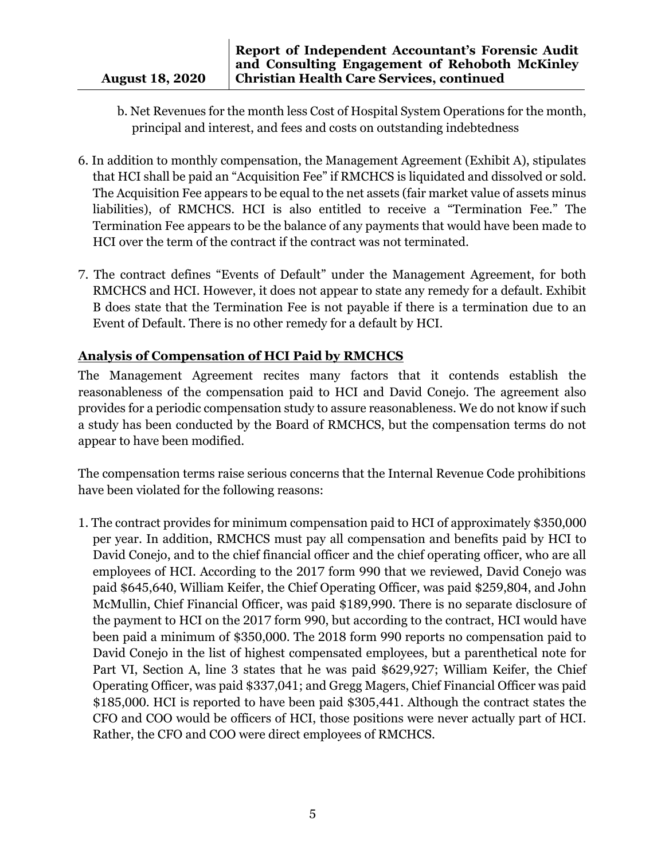- b. Net Revenues for the month less Cost of Hospital System Operations for the month, principal and interest, and fees and costs on outstanding indebtedness
- 6. In addition to monthly compensation, the Management Agreement (Exhibit A), stipulates that HCI shall be paid an "Acquisition Fee" if RMCHCS is liquidated and dissolved or sold. The Acquisition Fee appears to be equal to the net assets (fair market value of assets minus liabilities), of RMCHCS. HCI is also entitled to receive a "Termination Fee." The Termination Fee appears to be the balance of any payments that would have been made to HCI over the term of the contract if the contract was not terminated.
- 7. The contract defines "Events of Default" under the Management Agreement, for both RMCHCS and HCI. However, it does not appear to state any remedy for a default. Exhibit B does state that the Termination Fee is not payable if there is a termination due to an Event of Default. There is no other remedy for a default by HCI.

## **Analysis of Compensation of HCI Paid by RMCHCS**

The Management Agreement recites many factors that it contends establish the reasonableness of the compensation paid to HCI and David Conejo. The agreement also provides for a periodic compensation study to assure reasonableness. We do not know if such a study has been conducted by the Board of RMCHCS, but the compensation terms do not appear to have been modified.

The compensation terms raise serious concerns that the Internal Revenue Code prohibitions have been violated for the following reasons:

1. The contract provides for minimum compensation paid to HCI of approximately \$350,000 per year. In addition, RMCHCS must pay all compensation and benefits paid by HCI to David Conejo, and to the chief financial officer and the chief operating officer, who are all employees of HCI. According to the 2017 form 990 that we reviewed, David Conejo was paid \$645,640, William Keifer, the Chief Operating Officer, was paid \$259,804, and John McMullin, Chief Financial Officer, was paid \$189,990. There is no separate disclosure of the payment to HCI on the 2017 form 990, but according to the contract, HCI would have been paid a minimum of \$350,000. The 2018 form 990 reports no compensation paid to David Conejo in the list of highest compensated employees, but a parenthetical note for Part VI, Section A, line 3 states that he was paid \$629,927; William Keifer, the Chief Operating Officer, was paid \$337,041; and Gregg Magers, Chief Financial Officer was paid \$185,000. HCI is reported to have been paid \$305,441. Although the contract states the CFO and COO would be officers of HCI, those positions were never actually part of HCI. Rather, the CFO and COO were direct employees of RMCHCS.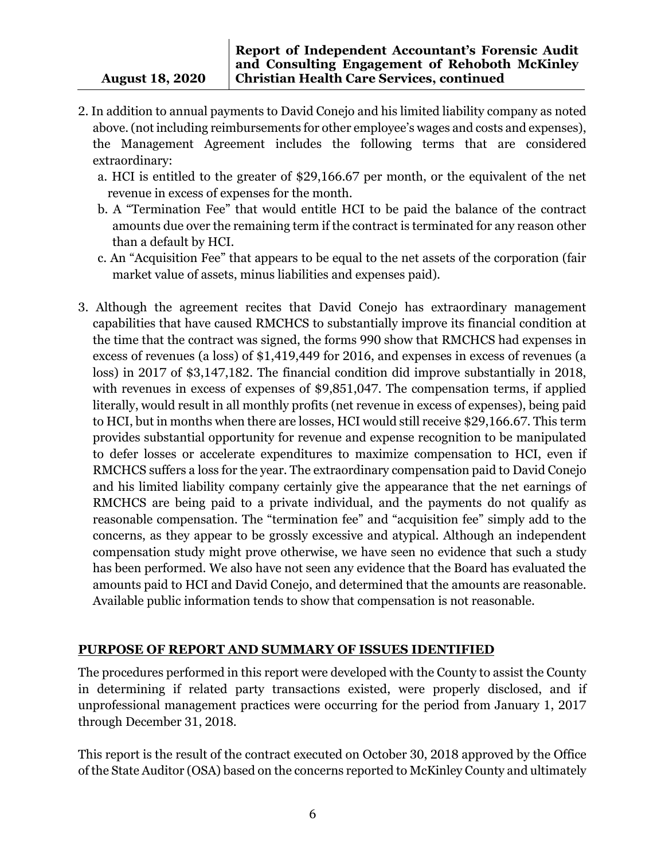- 2. In addition to annual payments to David Conejo and his limited liability company as noted above.(not including reimbursements for other employee's wages and costs and expenses), the Management Agreement includes the following terms that are considered extraordinary:
	- a. HCI is entitled to the greater of \$29,166.67 per month, or the equivalent of the net revenue in excess of expenses for the month.
	- b. A "Termination Fee" that would entitle HCI to be paid the balance of the contract amounts due over the remaining term if the contract is terminated for any reason other than a default by HCI.
	- c. An "Acquisition Fee" that appears to be equal to the net assets of the corporation (fair market value of assets, minus liabilities and expenses paid).
- 3. Although the agreement recites that David Conejo has extraordinary management capabilities that have caused RMCHCS to substantially improve its financial condition at the time that the contract was signed, the forms 990 show that RMCHCS had expenses in excess of revenues (a loss) of \$1,419,449 for 2016, and expenses in excess of revenues (a loss) in 2017 of \$3,147,182. The financial condition did improve substantially in 2018, with revenues in excess of expenses of \$9,851,047. The compensation terms, if applied literally, would result in all monthly profits (net revenue in excess of expenses), being paid to HCI, but in months when there are losses, HCI would still receive \$29,166.67. This term provides substantial opportunity for revenue and expense recognition to be manipulated to defer losses or accelerate expenditures to maximize compensation to HCI, even if RMCHCS suffers a loss for the year. The extraordinary compensation paid to David Conejo and his limited liability company certainly give the appearance that the net earnings of RMCHCS are being paid to a private individual, and the payments do not qualify as reasonable compensation. The "termination fee" and "acquisition fee" simply add to the concerns, as they appear to be grossly excessive and atypical. Although an independent compensation study might prove otherwise, we have seen no evidence that such a study has been performed. We also have not seen any evidence that the Board has evaluated the amounts paid to HCI and David Conejo, and determined that the amounts are reasonable. Available public information tends to show that compensation is not reasonable.

## **PURPOSE OF REPORT AND SUMMARY OF ISSUES IDENTIFIED**

The procedures performed in this report were developed with the County to assist the County in determining if related party transactions existed, were properly disclosed, and if unprofessional management practices were occurring for the period from January 1, 2017 through December 31, 2018.

This report is the result of the contract executed on October 30, 2018 approved by the Office of the State Auditor (OSA) based on the concerns reported to McKinley County and ultimately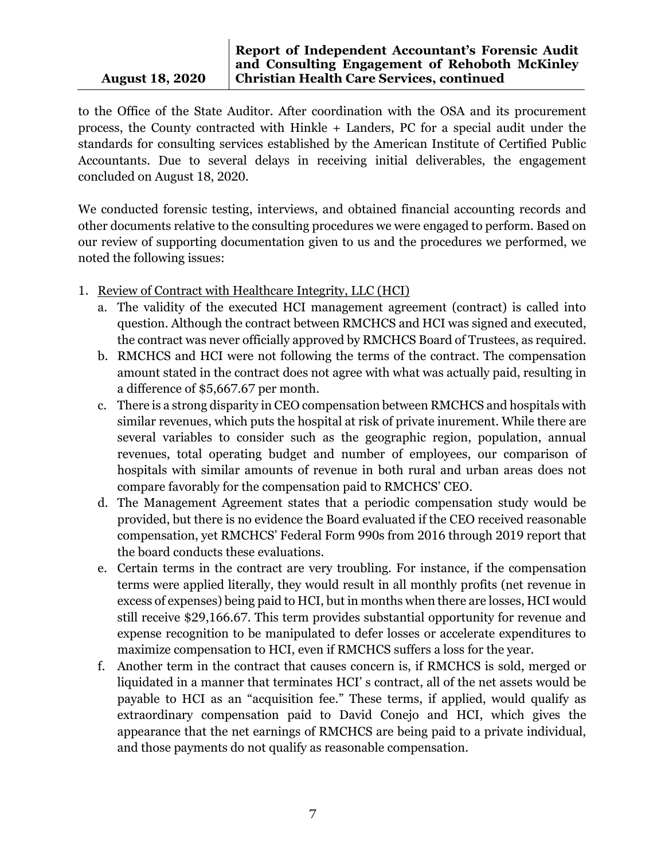to the Office of the State Auditor. After coordination with the OSA and its procurement process, the County contracted with Hinkle + Landers, PC for a special audit under the standards for consulting services established by the American Institute of Certified Public Accountants. Due to several delays in receiving initial deliverables, the engagement concluded on August 18, 2020.

We conducted forensic testing, interviews, and obtained financial accounting records and other documents relative to the consulting procedures we were engaged to perform. Based on our review of supporting documentation given to us and the procedures we performed, we noted the following issues:

- 1. Review of Contract with Healthcare Integrity, LLC (HCI)
	- a. The validity of the executed HCI management agreement (contract) is called into question. Although the contract between RMCHCS and HCI was signed and executed, the contract was never officially approved by RMCHCS Board of Trustees, as required.
	- b. RMCHCS and HCI were not following the terms of the contract. The compensation amount stated in the contract does not agree with what was actually paid, resulting in a difference of \$5,667.67 per month.
	- c. There is a strong disparity in CEO compensation between RMCHCS and hospitals with similar revenues, which puts the hospital at risk of private inurement. While there are several variables to consider such as the geographic region, population, annual revenues, total operating budget and number of employees, our comparison of hospitals with similar amounts of revenue in both rural and urban areas does not compare favorably for the compensation paid to RMCHCS' CEO.
	- d. The Management Agreement states that a periodic compensation study would be provided, but there is no evidence the Board evaluated if the CEO received reasonable compensation, yet RMCHCS' Federal Form 990s from 2016 through 2019 report that the board conducts these evaluations.
	- e. Certain terms in the contract are very troubling. For instance, if the compensation terms were applied literally, they would result in all monthly profits (net revenue in excess of expenses) being paid to HCI, but in months when there are losses, HCI would still receive \$29,166.67. This term provides substantial opportunity for revenue and expense recognition to be manipulated to defer losses or accelerate expenditures to maximize compensation to HCI, even if RMCHCS suffers a loss for the year.
	- f. Another term in the contract that causes concern is, if RMCHCS is sold, merged or liquidated in a manner that terminates HCI' s contract, all of the net assets would be payable to HCI as an "acquisition fee." These terms, if applied, would qualify as extraordinary compensation paid to David Conejo and HCI, which gives the appearance that the net earnings of RMCHCS are being paid to a private individual, and those payments do not qualify as reasonable compensation.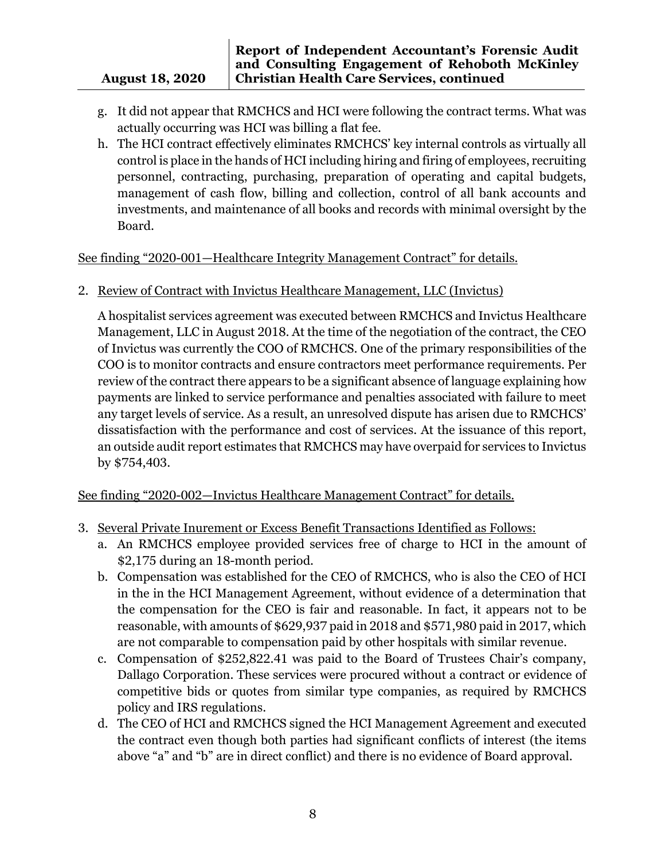#### **Report of Independent Accountant's Forensic Audit and Consulting Engagement of Rehoboth McKinley Christian Health Care Services, continued**

- g. It did not appear that RMCHCS and HCI were following the contract terms. What was actually occurring was HCI was billing a flat fee.
- h. The HCI contract effectively eliminates RMCHCS' key internal controls as virtually all control is place in the hands of HCI including hiring and firing of employees, recruiting personnel, contracting, purchasing, preparation of operating and capital budgets, management of cash flow, billing and collection, control of all bank accounts and investments, and maintenance of all books and records with minimal oversight by the Board.

See finding "2020-001—Healthcare Integrity Management Contract" for details.

2. Review of Contract with Invictus Healthcare Management, LLC (Invictus)

A hospitalist services agreement was executed between RMCHCS and Invictus Healthcare Management, LLC in August 2018. At the time of the negotiation of the contract, the CEO of Invictus was currently the COO of RMCHCS. One of the primary responsibilities of the COO is to monitor contracts and ensure contractors meet performance requirements. Per review of the contract there appears to be a significant absence of language explaining how payments are linked to service performance and penalties associated with failure to meet any target levels of service. As a result, an unresolved dispute has arisen due to RMCHCS' dissatisfaction with the performance and cost of services. At the issuance of this report, an outside audit report estimates that RMCHCS may have overpaid for services to Invictus by \$754,403.

See finding "2020-002—Invictus Healthcare Management Contract" for details.

- 3. Several Private Inurement or Excess Benefit Transactions Identified as Follows:
	- a. An RMCHCS employee provided services free of charge to HCI in the amount of \$2,175 during an 18-month period.
	- b. Compensation was established for the CEO of RMCHCS, who is also the CEO of HCI in the in the HCI Management Agreement, without evidence of a determination that the compensation for the CEO is fair and reasonable. In fact, it appears not to be reasonable, with amounts of \$629,937 paid in 2018 and \$571,980 paid in 2017, which are not comparable to compensation paid by other hospitals with similar revenue.
	- c. Compensation of \$252,822.41 was paid to the Board of Trustees Chair's company, Dallago Corporation. These services were procured without a contract or evidence of competitive bids or quotes from similar type companies, as required by RMCHCS policy and IRS regulations.
	- d. The CEO of HCI and RMCHCS signed the HCI Management Agreement and executed the contract even though both parties had significant conflicts of interest (the items above "a" and "b" are in direct conflict) and there is no evidence of Board approval.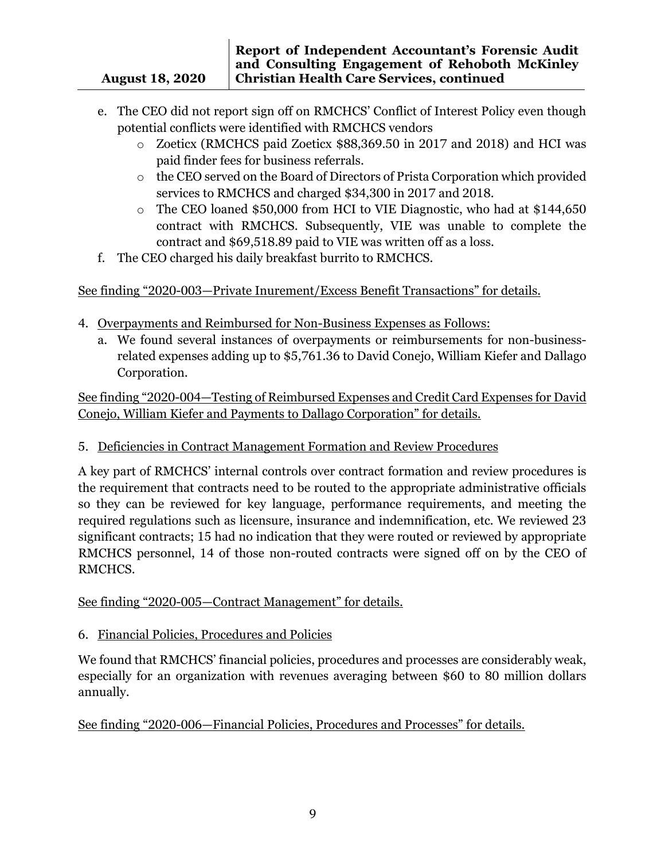- e. The CEO did not report sign off on RMCHCS' Conflict of Interest Policy even though potential conflicts were identified with RMCHCS vendors
	- o Zoeticx (RMCHCS paid Zoeticx \$88,369.50 in 2017 and 2018) and HCI was paid finder fees for business referrals.
	- o the CEO served on the Board of Directors of Prista Corporation which provided services to RMCHCS and charged \$34,300 in 2017 and 2018.
	- o The CEO loaned \$50,000 from HCI to VIE Diagnostic, who had at \$144,650 contract with RMCHCS. Subsequently, VIE was unable to complete the contract and \$69,518.89 paid to VIE was written off as a loss.
- f. The CEO charged his daily breakfast burrito to RMCHCS.

See finding "2020-003—Private Inurement/Excess Benefit Transactions" for details.

- 4. Overpayments and Reimbursed for Non-Business Expenses as Follows:
	- a. We found several instances of overpayments or reimbursements for non-businessrelated expenses adding up to \$5,761.36 to David Conejo, William Kiefer and Dallago Corporation.

See finding "2020-004—Testing of Reimbursed Expenses and Credit Card Expenses for David Conejo, William Kiefer and Payments to Dallago Corporation" for details.

5. Deficiencies in Contract Management Formation and Review Procedures

A key part of RMCHCS' internal controls over contract formation and review procedures is the requirement that contracts need to be routed to the appropriate administrative officials so they can be reviewed for key language, performance requirements, and meeting the required regulations such as licensure, insurance and indemnification, etc. We reviewed 23 significant contracts; 15 had no indication that they were routed or reviewed by appropriate RMCHCS personnel, 14 of those non-routed contracts were signed off on by the CEO of RMCHCS.

See finding "2020-005—Contract Management" for details.

6. Financial Policies, Procedures and Policies

We found that RMCHCS' financial policies, procedures and processes are considerably weak, especially for an organization with revenues averaging between \$60 to 80 million dollars annually.

See finding "2020-006—Financial Policies, Procedures and Processes" for details.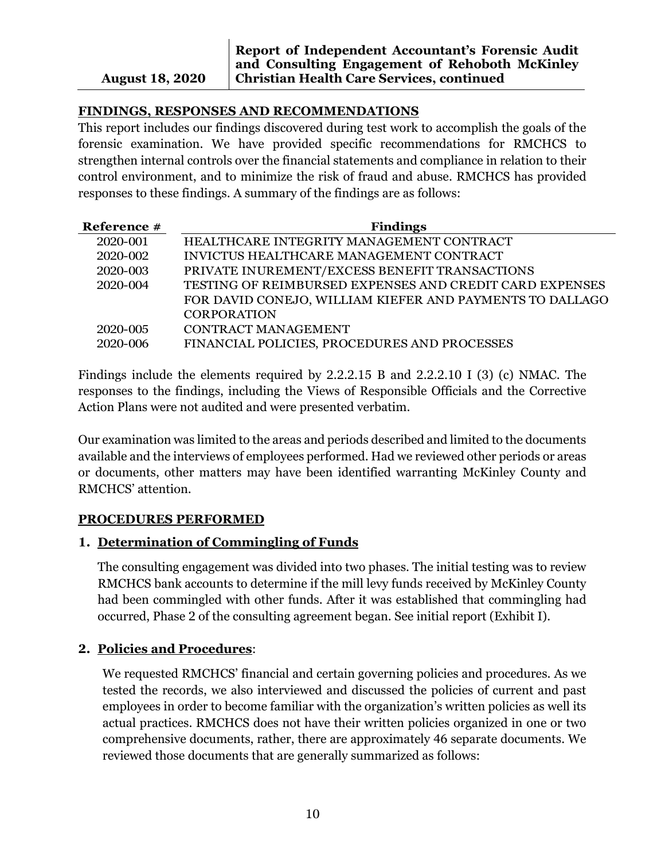## **FINDINGS, RESPONSES AND RECOMMENDATIONS**

This report includes our findings discovered during test work to accomplish the goals of the forensic examination. We have provided specific recommendations for RMCHCS to strengthen internal controls over the financial statements and compliance in relation to their control environment, and to minimize the risk of fraud and abuse. RMCHCS has provided responses to these findings. A summary of the findings are as follows:

| Reference # | <b>Findings</b>                                          |
|-------------|----------------------------------------------------------|
| 2020-001    | HEALTHCARE INTEGRITY MANAGEMENT CONTRACT                 |
| 2020-002    | INVICTUS HEALTHCARE MANAGEMENT CONTRACT                  |
| 2020-003    | PRIVATE INUREMENT/EXCESS BENEFIT TRANSACTIONS            |
| 2020-004    | TESTING OF REIMBURSED EXPENSES AND CREDIT CARD EXPENSES  |
|             | FOR DAVID CONEJO, WILLIAM KIEFER AND PAYMENTS TO DALLAGO |
|             | <b>CORPORATION</b>                                       |
| 2020-005    | <b>CONTRACT MANAGEMENT</b>                               |
| 2020-006    | FINANCIAL POLICIES, PROCEDURES AND PROCESSES             |

Findings include the elements required by 2.2.2.15 B and 2.2.2.10 I (3) (c) NMAC. The responses to the findings, including the Views of Responsible Officials and the Corrective Action Plans were not audited and were presented verbatim.

Our examination was limited to the areas and periods described and limited to the documents available and the interviews of employees performed. Had we reviewed other periods or areas or documents, other matters may have been identified warranting McKinley County and RMCHCS' attention.

#### **PROCEDURES PERFORMED**

## **1. Determination of Commingling of Funds**

The consulting engagement was divided into two phases. The initial testing was to review RMCHCS bank accounts to determine if the mill levy funds received by McKinley County had been commingled with other funds. After it was established that commingling had occurred, Phase 2 of the consulting agreement began. See initial report (Exhibit I).

## **2. Policies and Procedures**:

We requested RMCHCS' financial and certain governing policies and procedures. As we tested the records, we also interviewed and discussed the policies of current and past employees in order to become familiar with the organization's written policies as well its actual practices. RMCHCS does not have their written policies organized in one or two comprehensive documents, rather, there are approximately 46 separate documents. We reviewed those documents that are generally summarized as follows: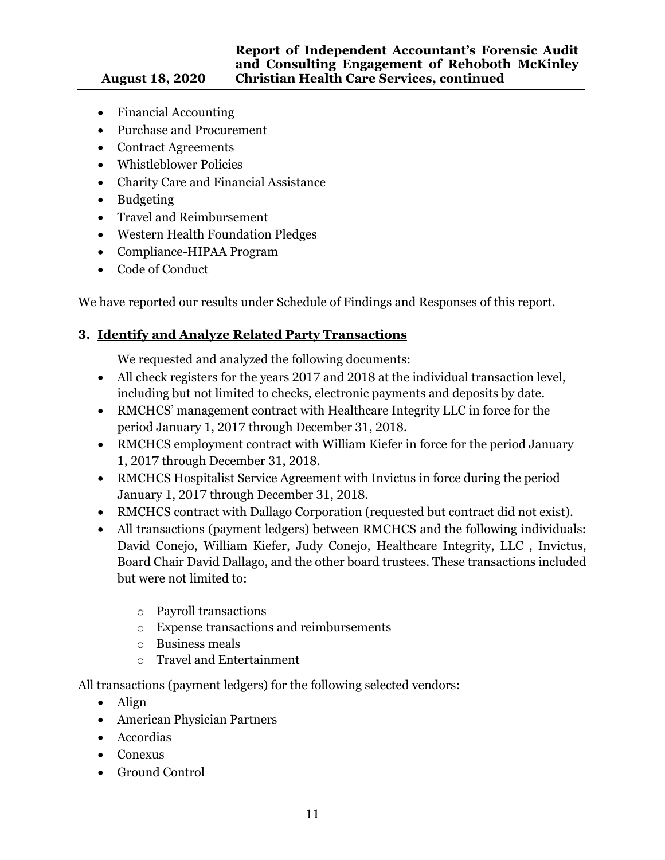- Financial Accounting
- Purchase and Procurement
- Contract Agreements
- Whistleblower Policies
- Charity Care and Financial Assistance
- Budgeting
- Travel and Reimbursement
- Western Health Foundation Pledges
- Compliance-HIPAA Program
- Code of Conduct

We have reported our results under Schedule of Findings and Responses of this report.

## **3. Identify and Analyze Related Party Transactions**

We requested and analyzed the following documents:

- All check registers for the years 2017 and 2018 at the individual transaction level, including but not limited to checks, electronic payments and deposits by date.
- RMCHCS' management contract with Healthcare Integrity LLC in force for the period January 1, 2017 through December 31, 2018.
- RMCHCS employment contract with William Kiefer in force for the period January 1, 2017 through December 31, 2018.
- RMCHCS Hospitalist Service Agreement with Invictus in force during the period January 1, 2017 through December 31, 2018.
- RMCHCS contract with Dallago Corporation (requested but contract did not exist).
- All transactions (payment ledgers) between RMCHCS and the following individuals: David Conejo, William Kiefer, Judy Conejo, Healthcare Integrity, LLC , Invictus, Board Chair David Dallago, and the other board trustees. These transactions included but were not limited to:
	- o Payroll transactions
	- o Expense transactions and reimbursements
	- o Business meals
	- o Travel and Entertainment

All transactions (payment ledgers) for the following selected vendors:

- Align
- American Physician Partners
- Accordias
- Conexus
- Ground Control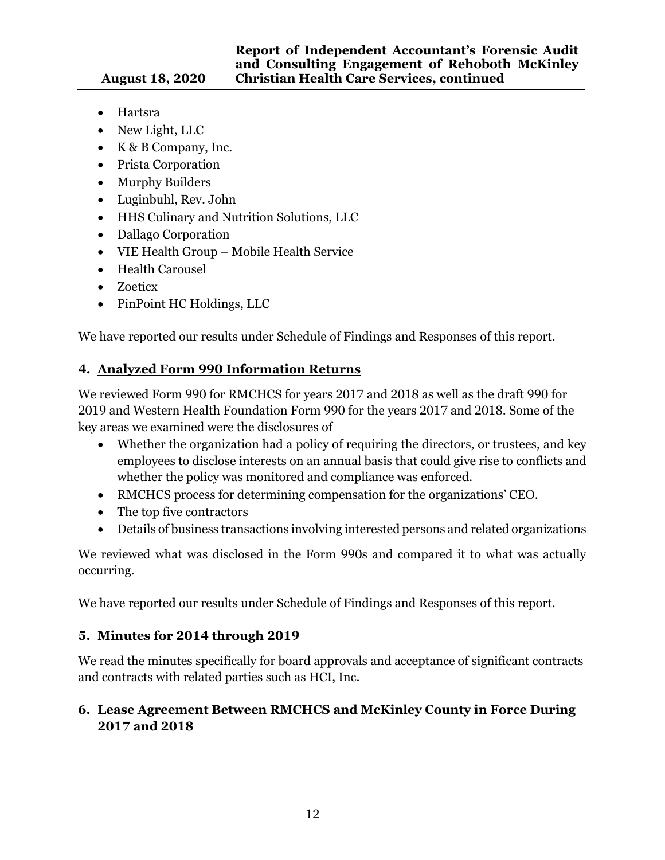- Hartsra
- New Light, LLC
- K & B Company, Inc.
- Prista Corporation
- Murphy Builders
- Luginbuhl, Rev. John
- HHS Culinary and Nutrition Solutions, LLC
- Dallago Corporation
- VIE Health Group Mobile Health Service
- Health Carousel
- Zoeticx
- PinPoint HC Holdings, LLC

We have reported our results under Schedule of Findings and Responses of this report.

## **4. Analyzed Form 990 Information Returns**

We reviewed Form 990 for RMCHCS for years 2017 and 2018 as well as the draft 990 for 2019 and Western Health Foundation Form 990 for the years 2017 and 2018. Some of the key areas we examined were the disclosures of

- Whether the organization had a policy of requiring the directors, or trustees, and key employees to disclose interests on an annual basis that could give rise to conflicts and whether the policy was monitored and compliance was enforced.
- RMCHCS process for determining compensation for the organizations' CEO.
- The top five contractors
- Details of business transactions involving interested persons and related organizations

We reviewed what was disclosed in the Form 990s and compared it to what was actually occurring.

We have reported our results under Schedule of Findings and Responses of this report.

# **5. Minutes for 2014 through 2019**

We read the minutes specifically for board approvals and acceptance of significant contracts and contracts with related parties such as HCI, Inc.

## **6. Lease Agreement Between RMCHCS and McKinley County in Force During 2017 and 2018**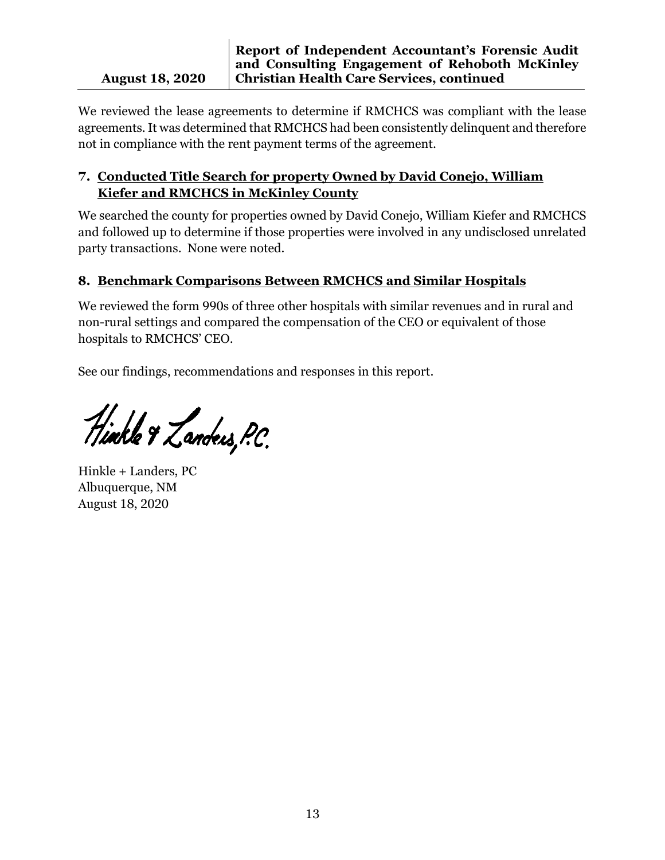#### **August 18, 2020 Report of Independent Accountant's Forensic Audit and Consulting Engagement of Rehoboth McKinley Christian Health Care Services, continued**

We reviewed the lease agreements to determine if RMCHCS was compliant with the lease agreements. It was determined that RMCHCS had been consistently delinquent and therefore not in compliance with the rent payment terms of the agreement.

## **7. Conducted Title Search for property Owned by David Conejo, William Kiefer and RMCHCS in McKinley County**

We searched the county for properties owned by David Conejo, William Kiefer and RMCHCS and followed up to determine if those properties were involved in any undisclosed unrelated party transactions. None were noted.

## **8. Benchmark Comparisons Between RMCHCS and Similar Hospitals**

We reviewed the form 990s of three other hospitals with similar revenues and in rural and non-rural settings and compared the compensation of the CEO or equivalent of those hospitals to RMCHCS' CEO.

See our findings, recommendations and responses in this report.

Hinkle & Landers, P.C.

Hinkle + Landers, PC Albuquerque, NM August 18, 2020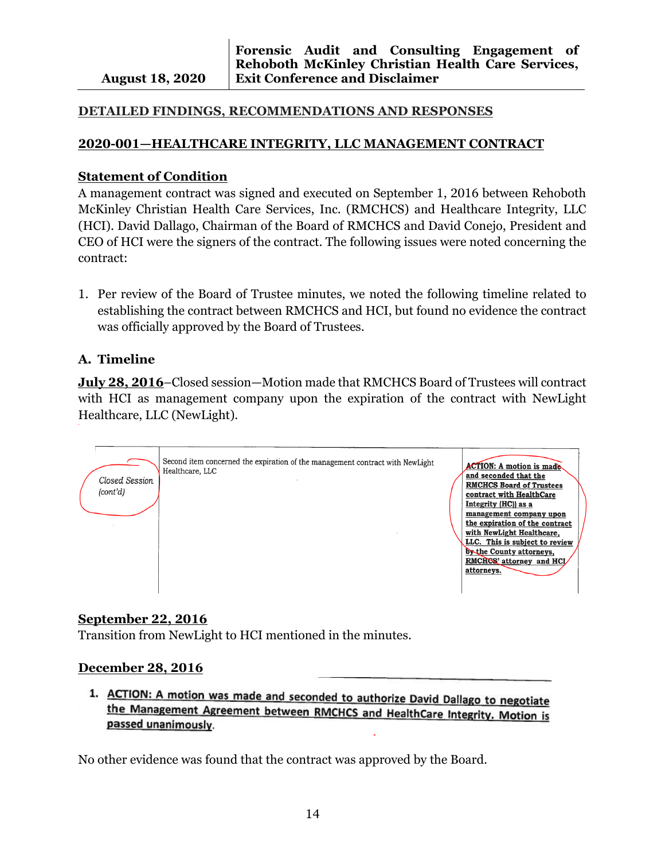#### **DETAILED FINDINGS, RECOMMENDATIONS AND RESPONSES**

#### **2020-001—HEALTHCARE INTEGRITY, LLC MANAGEMENT CONTRACT**

#### **Statement of Condition**

A management contract was signed and executed on September 1, 2016 between Rehoboth McKinley Christian Health Care Services, Inc. (RMCHCS) and Healthcare Integrity, LLC (HCI). David Dallago, Chairman of the Board of RMCHCS and David Conejo, President and CEO of HCI were the signers of the contract. The following issues were noted concerning the contract:

1. Per review of the Board of Trustee minutes, we noted the following timeline related to establishing the contract between RMCHCS and HCI, but found no evidence the contract was officially approved by the Board of Trustees.

#### **A. Timeline**

**July 28, 2016**–Closed session—Motion made that RMCHCS Board of Trustees will contract with HCI as management company upon the expiration of the contract with NewLight Healthcare, LLC (NewLight).



#### **September 22, 2016**

Transition from NewLight to HCI mentioned in the minutes.

#### **December 28, 2016**

1. ACTION: A motion was made and seconded to authorize David Dallago to negotiate the Management Agreement between RMCHCS and HealthCare Integrity. Motion is passed unanimously.

No other evidence was found that the contract was approved by the Board.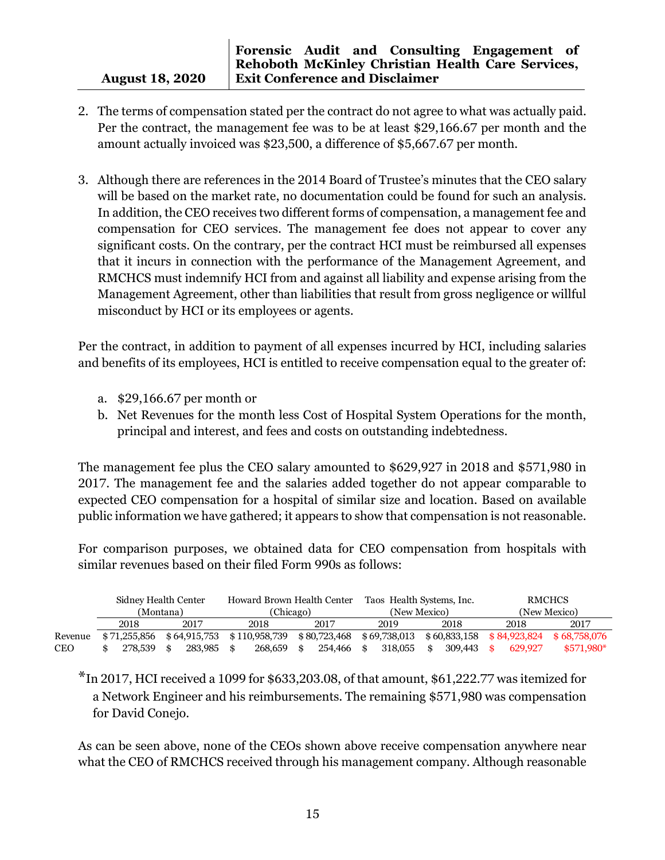- 2. The terms of compensation stated per the contract do not agree to what was actually paid. Per the contract, the management fee was to be at least \$29,166.67 per month and the amount actually invoiced was \$23,500, a difference of \$5,667.67 per month.
- 3. Although there are references in the 2014 Board of Trustee's minutes that the CEO salary will be based on the market rate, no documentation could be found for such an analysis. In addition, the CEO receives two different forms of compensation, a management fee and compensation for CEO services. The management fee does not appear to cover any significant costs. On the contrary, per the contract HCI must be reimbursed all expenses that it incurs in connection with the performance of the Management Agreement, and RMCHCS must indemnify HCI from and against all liability and expense arising from the Management Agreement, other than liabilities that result from gross negligence or willful misconduct by HCI or its employees or agents.

Per the contract, in addition to payment of all expenses incurred by HCI, including salaries and benefits of its employees, HCI is entitled to receive compensation equal to the greater of:

- a. \$29,166.67 per month or
- b. Net Revenues for the month less Cost of Hospital System Operations for the month, principal and interest, and fees and costs on outstanding indebtedness.

The management fee plus the CEO salary amounted to \$629,927 in 2018 and \$571,980 in 2017. The management fee and the salaries added together do not appear comparable to expected CEO compensation for a hospital of similar size and location. Based on available public information we have gathered; it appears to show that compensation is not reasonable.

For comparison purposes, we obtained data for CEO compensation from hospitals with similar revenues based on their filed Form 990s as follows:

|            | Sidney Health Center |              |  | Howard Brown Health Center |  |               | Taos Health Systems, Inc. |              |    |              | <b>RMCHCS</b> |                             |  |         |              |
|------------|----------------------|--------------|--|----------------------------|--|---------------|---------------------------|--------------|----|--------------|---------------|-----------------------------|--|---------|--------------|
|            |                      | (Montana)    |  |                            |  | (Chicago)     |                           |              |    | (New Mexico) |               |                             |  |         | (New Mexico) |
|            |                      | 2018         |  | 2017                       |  | 2018          |                           | 2017         |    | 2019         |               | 2018                        |  | 2018    | 2017         |
| Revenue    |                      | \$71,255,856 |  | \$64,915,753               |  | \$110,958,739 |                           | \$80,723,468 |    | \$69,738,013 |               | $$60,833,158$ $$84,923,824$ |  |         | \$68,758,076 |
| <b>CEO</b> |                      | 278.539      |  | 283,985 \$                 |  | 268,659       | \$                        | 254.466      | -8 | 318,055      |               | 309.443                     |  | 629.927 | $$571.980*$  |

\*In 2017, HCI received a 1099 for \$633,203.08, of that amount, \$61,222.77 was itemized for a Network Engineer and his reimbursements. The remaining \$571,980 was compensation for David Conejo.

As can be seen above, none of the CEOs shown above receive compensation anywhere near what the CEO of RMCHCS received through his management company. Although reasonable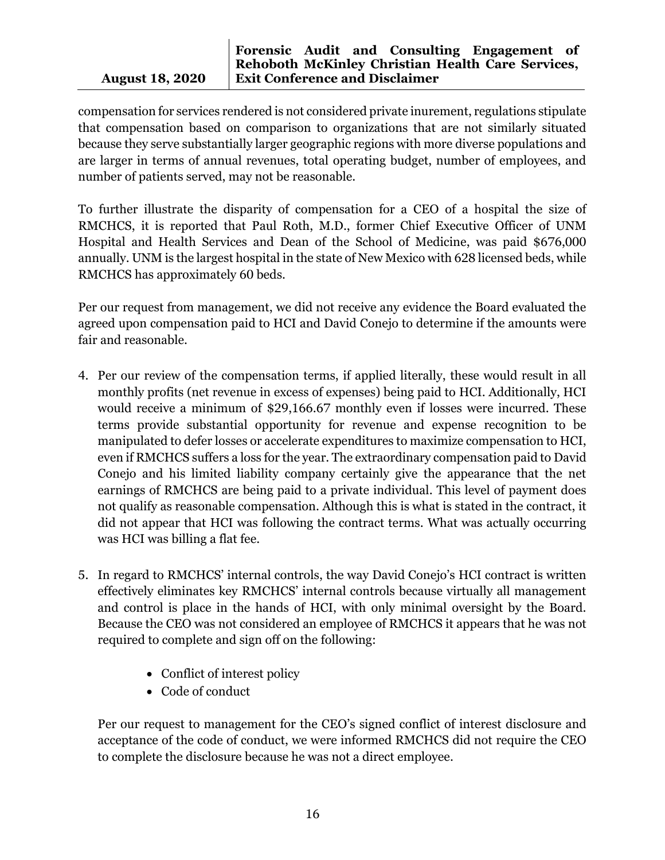compensation for services rendered is not considered private inurement, regulations stipulate that compensation based on comparison to organizations that are not similarly situated because they serve substantially larger geographic regions with more diverse populations and are larger in terms of annual revenues, total operating budget, number of employees, and number of patients served, may not be reasonable.

To further illustrate the disparity of compensation for a CEO of a hospital the size of RMCHCS, it is reported that Paul Roth, M.D., former Chief Executive Officer of UNM Hospital and Health Services and Dean of the School of Medicine, was paid \$676,000 annually. UNM is the largest hospital in the state of New Mexico with 628 licensed beds, while RMCHCS has approximately 60 beds.

Per our request from management, we did not receive any evidence the Board evaluated the agreed upon compensation paid to HCI and David Conejo to determine if the amounts were fair and reasonable.

- 4. Per our review of the compensation terms, if applied literally, these would result in all monthly profits (net revenue in excess of expenses) being paid to HCI. Additionally, HCI would receive a minimum of \$29,166.67 monthly even if losses were incurred. These terms provide substantial opportunity for revenue and expense recognition to be manipulated to defer losses or accelerate expenditures to maximize compensation to HCI, even if RMCHCS suffers a loss for the year. The extraordinary compensation paid to David Conejo and his limited liability company certainly give the appearance that the net earnings of RMCHCS are being paid to a private individual. This level of payment does not qualify as reasonable compensation. Although this is what is stated in the contract, it did not appear that HCI was following the contract terms. What was actually occurring was HCI was billing a flat fee.
- 5. In regard to RMCHCS' internal controls, the way David Conejo's HCI contract is written effectively eliminates key RMCHCS' internal controls because virtually all management and control is place in the hands of HCI, with only minimal oversight by the Board. Because the CEO was not considered an employee of RMCHCS it appears that he was not required to complete and sign off on the following:
	- Conflict of interest policy
	- Code of conduct

Per our request to management for the CEO's signed conflict of interest disclosure and acceptance of the code of conduct, we were informed RMCHCS did not require the CEO to complete the disclosure because he was not a direct employee.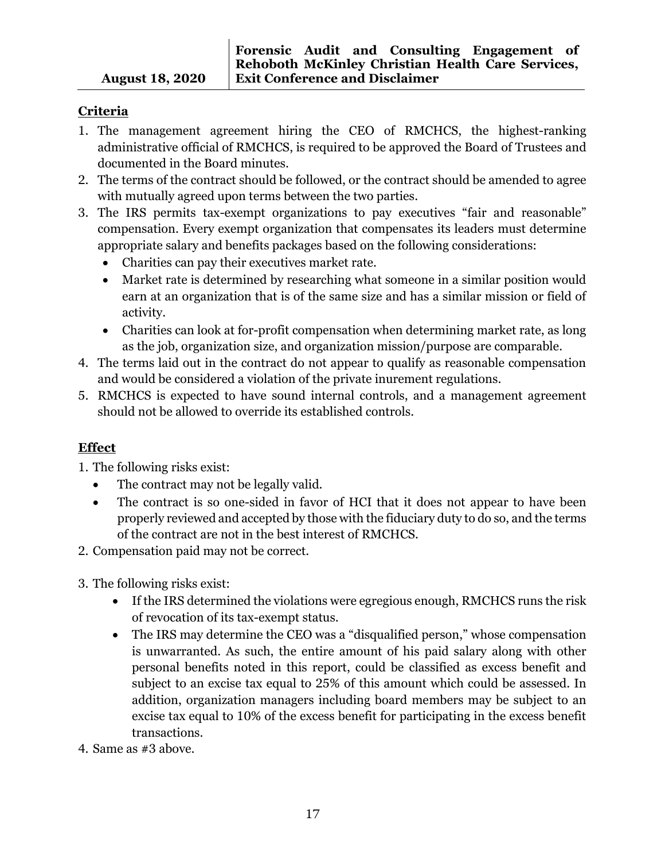## **Criteria**

- 1. The management agreement hiring the CEO of RMCHCS, the highest-ranking administrative official of RMCHCS, is required to be approved the Board of Trustees and documented in the Board minutes.
- 2. The terms of the contract should be followed, or the contract should be amended to agree with mutually agreed upon terms between the two parties.
- 3. The IRS permits tax-exempt organizations to pay executives "fair and reasonable" compensation. Every exempt organization that compensates its leaders must determine appropriate salary and benefits packages based on the following considerations:
	- Charities can pay their executives market rate.
	- Market rate is determined by researching what someone in a similar position would earn at an organization that is of the same size and has a similar mission or field of activity.
	- Charities can look at for-profit compensation when determining market rate, as long as the job, organization size, and organization mission/purpose are comparable.
- 4. The terms laid out in the contract do not appear to qualify as reasonable compensation and would be considered a violation of the private inurement regulations.
- 5. RMCHCS is expected to have sound internal controls, and a management agreement should not be allowed to override its established controls.

## **Effect**

- 1. The following risks exist:
	- The contract may not be legally valid.
	- The contract is so one-sided in favor of HCI that it does not appear to have been properly reviewed and accepted by those with the fiduciary duty to do so, and the terms of the contract are not in the best interest of RMCHCS.
- 2. Compensation paid may not be correct.
- 3. The following risks exist:
	- If the IRS determined the violations were egregious enough, RMCHCS runs the risk of revocation of its tax-exempt status.
	- The IRS may determine the CEO was a "disqualified person," whose compensation is unwarranted. As such, the entire amount of his paid salary along with other personal benefits noted in this report, could be classified as excess benefit and subject to an excise tax equal to 25% of this amount which could be assessed. In addition, organization managers including board members may be subject to an excise tax equal to 10% of the excess benefit for participating in the excess benefit transactions.
- 4. Same as #3 above.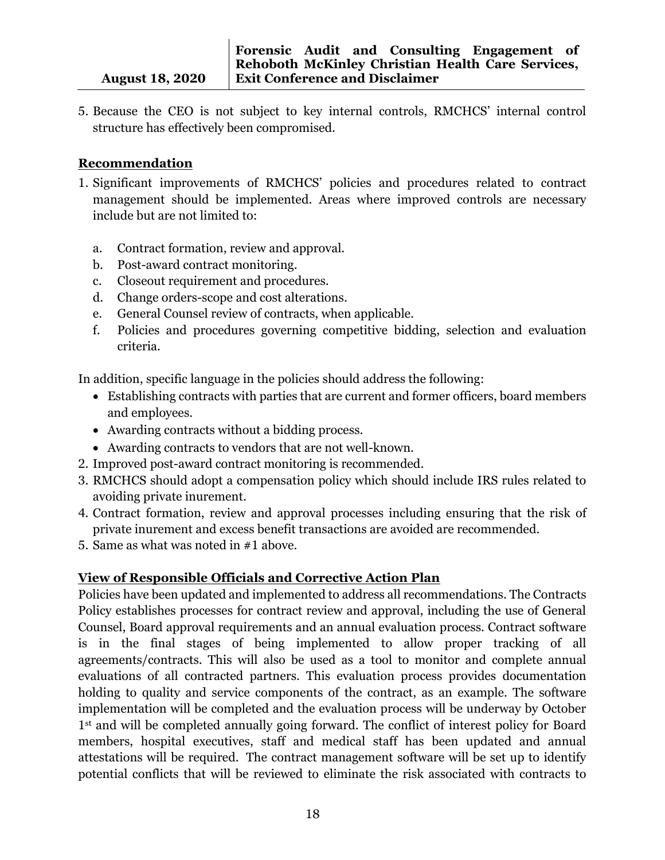5. Because the CEO is not subject to key internal controls, RMCHCS' internal control structure has effectively been compromised.

## **Recommendation**

- 1. Significant improvements of RMCHCS' policies and procedures related to contract management should be implemented. Areas where improved controls are necessary include but are not limited to:
	- a. Contract formation, review and approval.
	- b. Post-award contract monitoring.
	- c. Closeout requirement and procedures.
	- d. Change orders-scope and cost alterations.
	- e. General Counsel review of contracts, when applicable.
	- f. Policies and procedures governing competitive bidding, selection and evaluation criteria.

In addition, specific language in the policies should address the following:

- Establishing contracts with parties that are current and former officers, board members and employees.
- Awarding contracts without a bidding process.
- Awarding contracts to vendors that are not well-known.
- 2. Improved post-award contract monitoring is recommended.
- 3. RMCHCS should adopt a compensation policy which should include IRS rules related to avoiding private inurement.
- 4. Contract formation, review and approval processes including ensuring that the risk of private inurement and excess benefit transactions are avoided are recommended.
- 5. Same as what was noted in #1 above.

## **View of Responsible Officials and Corrective Action Plan**

Policies have been updated and implemented to address all recommendations. The Contracts Policy establishes processes for contract review and approval, including the use of General Counsel, Board approval requirements and an annual evaluation process. Contract software is in the final stages of being implemented to allow proper tracking of all agreements/contracts. This will also be used as a tool to monitor and complete annual evaluations of all contracted partners. This evaluation process provides documentation holding to quality and service components of the contract, as an example. The software implementation will be completed and the evaluation process will be underway by October 1<sup>st</sup> and will be completed annually going forward. The conflict of interest policy for Board members, hospital executives, staff and medical staff has been updated and annual attestations will be required. The contract management software will be set up to identify potential conflicts that will be reviewed to eliminate the risk associated with contracts to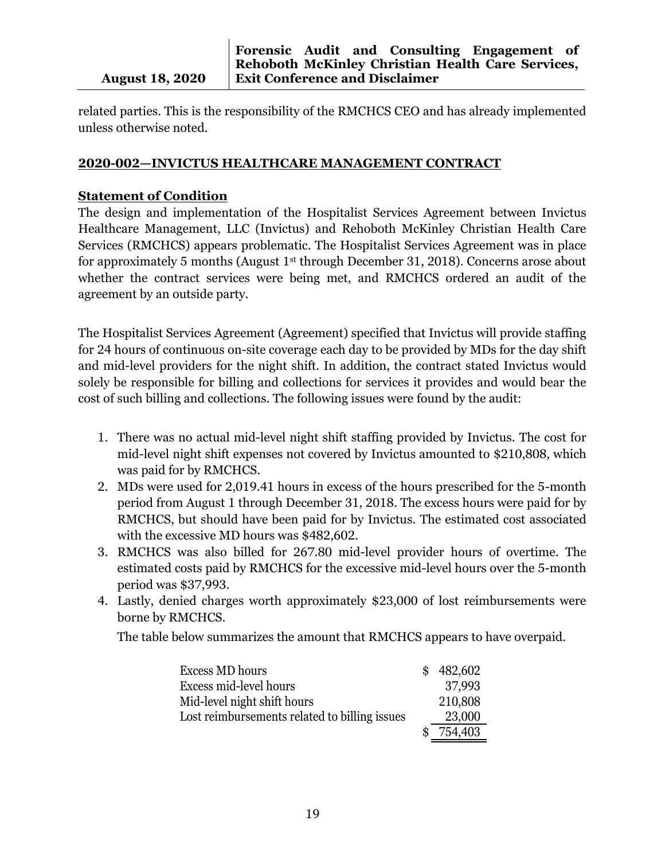related parties. This is the responsibility of the RMCHCS CEO and has already implemented unless otherwise noted.

#### **2020-002—INVICTUS HEALTHCARE MANAGEMENT CONTRACT**

#### **Statement of Condition**

The design and implementation of the Hospitalist Services Agreement between Invictus Healthcare Management, LLC (Invictus) and Rehoboth McKinley Christian Health Care Services (RMCHCS) appears problematic. The Hospitalist Services Agreement was in place for approximately 5 months (August 1<sup>st</sup> through December 31, 2018). Concerns arose about whether the contract services were being met, and RMCHCS ordered an audit of the agreement by an outside party.

The Hospitalist Services Agreement (Agreement) specified that Invictus will provide staffing for 24 hours of continuous on-site coverage each day to be provided by MDs for the day shift and mid-level providers for the night shift. In addition, the contract stated Invictus would solely be responsible for billing and collections for services it provides and would bear the cost of such billing and collections. The following issues were found by the audit:

- 1. There was no actual mid-level night shift staffing provided by Invictus. The cost for mid-level night shift expenses not covered by Invictus amounted to \$210,808, which was paid for by RMCHCS.
- 2. MDs were used for 2,019.41 hours in excess of the hours prescribed for the 5-month period from August 1 through December 31, 2018. The excess hours were paid for by RMCHCS, but should have been paid for by Invictus. The estimated cost associated with the excessive MD hours was \$482,602.
- 3. RMCHCS was also billed for 267.80 mid-level provider hours of overtime. The estimated costs paid by RMCHCS for the excessive mid-level hours over the 5-month period was \$37,993.
- 4. Lastly, denied charges worth approximately \$23,000 of lost reimbursements were borne by RMCHCS.

The table below summarizes the amount that RMCHCS appears to have overpaid.

| Excess MD hours                               | \$482,602 |
|-----------------------------------------------|-----------|
| Excess mid-level hours                        | 37,993    |
| Mid-level night shift hours                   | 210,808   |
| Lost reimbursements related to billing issues | 23,000    |
|                                               | 754,403   |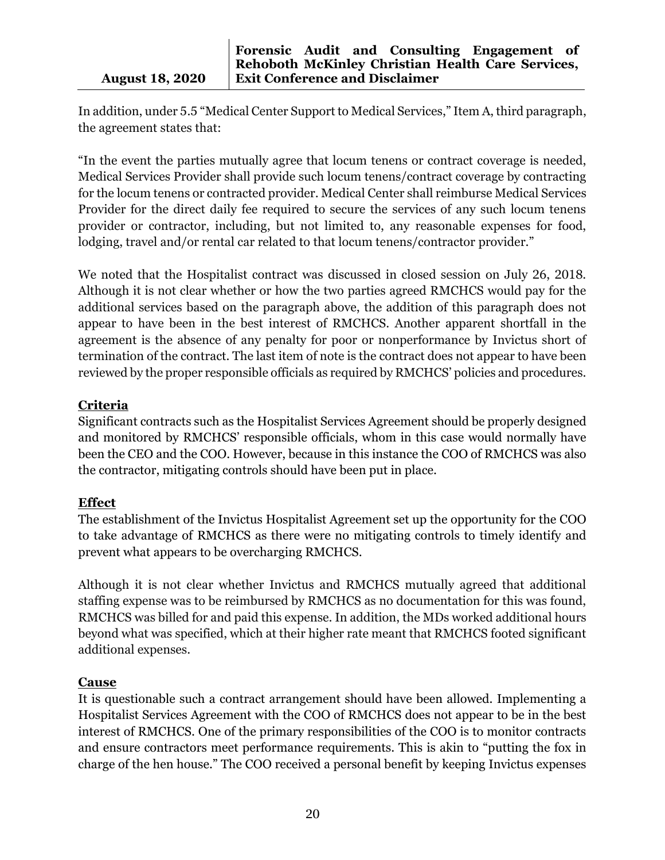In addition, under 5.5 "Medical Center Support to Medical Services," Item A, third paragraph, the agreement states that:

"In the event the parties mutually agree that locum tenens or contract coverage is needed, Medical Services Provider shall provide such locum tenens/contract coverage by contracting for the locum tenens or contracted provider. Medical Center shall reimburse Medical Services Provider for the direct daily fee required to secure the services of any such locum tenens provider or contractor, including, but not limited to, any reasonable expenses for food, lodging, travel and/or rental car related to that locum tenens/contractor provider."

We noted that the Hospitalist contract was discussed in closed session on July 26, 2018. Although it is not clear whether or how the two parties agreed RMCHCS would pay for the additional services based on the paragraph above, the addition of this paragraph does not appear to have been in the best interest of RMCHCS. Another apparent shortfall in the agreement is the absence of any penalty for poor or nonperformance by Invictus short of termination of the contract. The last item of note is the contract does not appear to have been reviewed by the proper responsible officials as required by RMCHCS' policies and procedures.

## **Criteria**

Significant contracts such as the Hospitalist Services Agreement should be properly designed and monitored by RMCHCS' responsible officials, whom in this case would normally have been the CEO and the COO. However, because in this instance the COO of RMCHCS was also the contractor, mitigating controls should have been put in place.

#### **Effect**

The establishment of the Invictus Hospitalist Agreement set up the opportunity for the COO to take advantage of RMCHCS as there were no mitigating controls to timely identify and prevent what appears to be overcharging RMCHCS.

Although it is not clear whether Invictus and RMCHCS mutually agreed that additional staffing expense was to be reimbursed by RMCHCS as no documentation for this was found, RMCHCS was billed for and paid this expense. In addition, the MDs worked additional hours beyond what was specified, which at their higher rate meant that RMCHCS footed significant additional expenses.

## **Cause**

It is questionable such a contract arrangement should have been allowed. Implementing a Hospitalist Services Agreement with the COO of RMCHCS does not appear to be in the best interest of RMCHCS. One of the primary responsibilities of the COO is to monitor contracts and ensure contractors meet performance requirements. This is akin to "putting the fox in charge of the hen house." The COO received a personal benefit by keeping Invictus expenses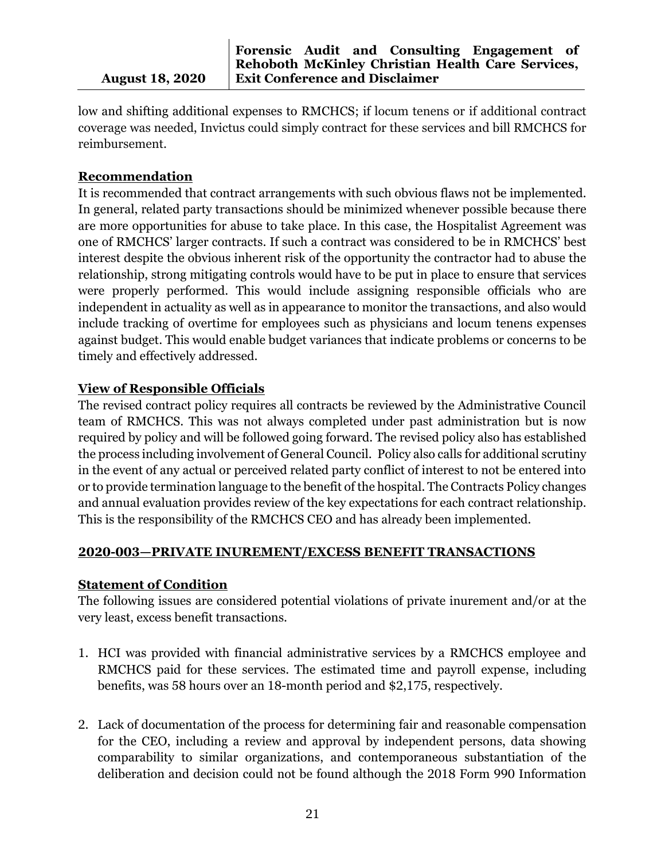**Forensic Audit and Consulting Engagement of Rehoboth McKinley Christian Health Care Services, Exit Conference and Disclaimer**

low and shifting additional expenses to RMCHCS; if locum tenens or if additional contract coverage was needed, Invictus could simply contract for these services and bill RMCHCS for reimbursement.

## **Recommendation**

It is recommended that contract arrangements with such obvious flaws not be implemented. In general, related party transactions should be minimized whenever possible because there are more opportunities for abuse to take place. In this case, the Hospitalist Agreement was one of RMCHCS' larger contracts. If such a contract was considered to be in RMCHCS' best interest despite the obvious inherent risk of the opportunity the contractor had to abuse the relationship, strong mitigating controls would have to be put in place to ensure that services were properly performed. This would include assigning responsible officials who are independent in actuality as well as in appearance to monitor the transactions, and also would include tracking of overtime for employees such as physicians and locum tenens expenses against budget. This would enable budget variances that indicate problems or concerns to be timely and effectively addressed.

## **View of Responsible Officials**

The revised contract policy requires all contracts be reviewed by the Administrative Council team of RMCHCS. This was not always completed under past administration but is now required by policy and will be followed going forward. The revised policy also has established the process including involvement of General Council. Policy also calls for additional scrutiny in the event of any actual or perceived related party conflict of interest to not be entered into or to provide termination language to the benefit of the hospital. The Contracts Policy changes and annual evaluation provides review of the key expectations for each contract relationship. This is the responsibility of the RMCHCS CEO and has already been implemented.

#### **2020-003—PRIVATE INUREMENT/EXCESS BENEFIT TRANSACTIONS**

## **Statement of Condition**

The following issues are considered potential violations of private inurement and/or at the very least, excess benefit transactions.

- 1. HCI was provided with financial administrative services by a RMCHCS employee and RMCHCS paid for these services. The estimated time and payroll expense, including benefits, was 58 hours over an 18-month period and \$2,175, respectively.
- 2. Lack of documentation of the process for determining fair and reasonable compensation for the CEO, including a review and approval by independent persons, data showing comparability to similar organizations, and contemporaneous substantiation of the deliberation and decision could not be found although the 2018 Form 990 Information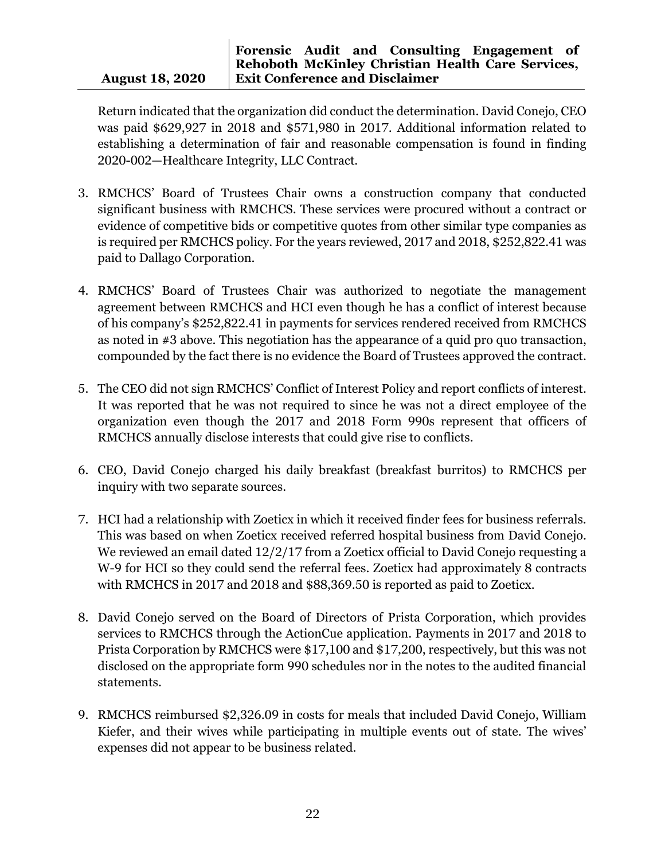Return indicated that the organization did conduct the determination. David Conejo, CEO was paid \$629,927 in 2018 and \$571,980 in 2017. Additional information related to establishing a determination of fair and reasonable compensation is found in finding 2020-002—Healthcare Integrity, LLC Contract.

- 3. RMCHCS' Board of Trustees Chair owns a construction company that conducted significant business with RMCHCS. These services were procured without a contract or evidence of competitive bids or competitive quotes from other similar type companies as is required per RMCHCS policy. For the years reviewed, 2017 and 2018, \$252,822.41 was paid to Dallago Corporation.
- 4. RMCHCS' Board of Trustees Chair was authorized to negotiate the management agreement between RMCHCS and HCI even though he has a conflict of interest because of his company's \$252,822.41 in payments for services rendered received from RMCHCS as noted in #3 above. This negotiation has the appearance of a quid pro quo transaction, compounded by the fact there is no evidence the Board of Trustees approved the contract.
- 5. The CEO did not sign RMCHCS' Conflict of Interest Policy and report conflicts of interest. It was reported that he was not required to since he was not a direct employee of the organization even though the 2017 and 2018 Form 990s represent that officers of RMCHCS annually disclose interests that could give rise to conflicts.
- 6. CEO, David Conejo charged his daily breakfast (breakfast burritos) to RMCHCS per inquiry with two separate sources.
- 7. HCI had a relationship with Zoeticx in which it received finder fees for business referrals. This was based on when Zoeticx received referred hospital business from David Conejo. We reviewed an email dated 12/2/17 from a Zoeticx official to David Conejo requesting a W-9 for HCI so they could send the referral fees. Zoeticx had approximately 8 contracts with RMCHCS in 2017 and 2018 and \$88,369.50 is reported as paid to Zoeticx.
- 8. David Conejo served on the Board of Directors of Prista Corporation, which provides services to RMCHCS through the ActionCue application. Payments in 2017 and 2018 to Prista Corporation by RMCHCS were \$17,100 and \$17,200, respectively, but this was not disclosed on the appropriate form 990 schedules nor in the notes to the audited financial statements.
- 9. RMCHCS reimbursed \$2,326.09 in costs for meals that included David Conejo, William Kiefer, and their wives while participating in multiple events out of state. The wives' expenses did not appear to be business related.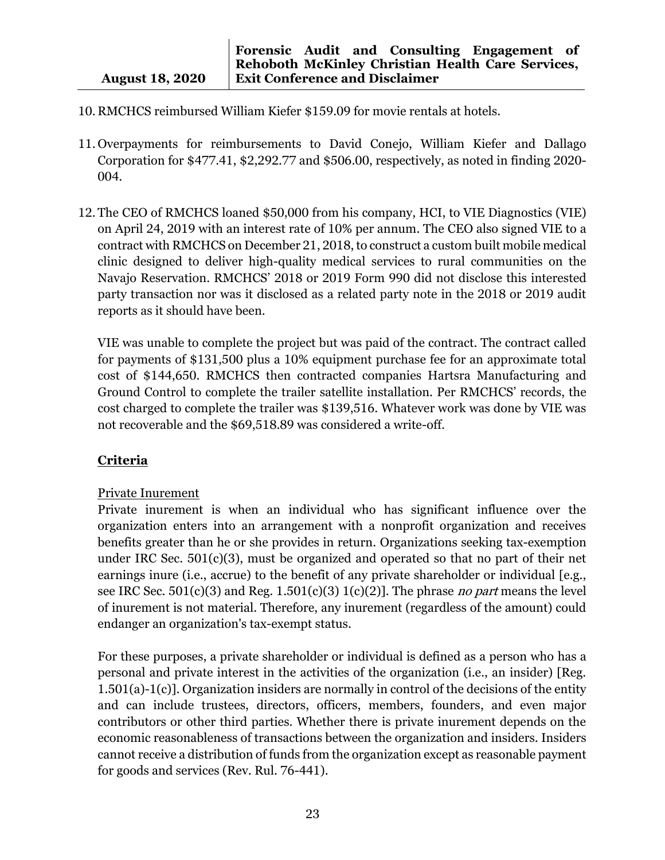- 10. RMCHCS reimbursed William Kiefer \$159.09 for movie rentals at hotels.
- 11. Overpayments for reimbursements to David Conejo, William Kiefer and Dallago Corporation for \$477.41, \$2,292.77 and \$506.00, respectively, as noted in finding 2020- 004.
- 12. The CEO of RMCHCS loaned \$50,000 from his company, HCI, to VIE Diagnostics (VIE) on April 24, 2019 with an interest rate of 10% per annum. The CEO also signed VIE to a contract with RMCHCS on December 21, 2018, to construct a custom built mobile medical clinic designed to deliver high-quality medical services to rural communities on the Navajo Reservation. RMCHCS' 2018 or 2019 Form 990 did not disclose this interested party transaction nor was it disclosed as a related party note in the 2018 or 2019 audit reports as it should have been.

VIE was unable to complete the project but was paid of the contract. The contract called for payments of \$131,500 plus a 10% equipment purchase fee for an approximate total cost of \$144,650. RMCHCS then contracted companies Hartsra Manufacturing and Ground Control to complete the trailer satellite installation. Per RMCHCS' records, the cost charged to complete the trailer was \$139,516. Whatever work was done by VIE was not recoverable and the \$69,518.89 was considered a write-off.

## **Criteria**

#### Private Inurement

Private inurement is when an individual who has significant influence over the organization enters into an arrangement with a nonprofit organization and receives benefits greater than he or she provides in return. Organizations seeking tax-exemption under IRC Sec. 501(c)(3), must be organized and operated so that no part of their net earnings inure (i.e., accrue) to the benefit of any private shareholder or individual [e.g., see IRC Sec.  $501(c)(3)$  and Reg.  $1.501(c)(3) 1(c)(2)$ . The phrase *no part* means the level of inurement is not material. Therefore, any inurement (regardless of the amount) could endanger an organization's tax-exempt status.

For these purposes, a private shareholder or individual is defined as a person who has a personal and private interest in the activities of the organization (i.e., an insider) [Reg. 1.501(a)-1(c)]. Organization insiders are normally in control of the decisions of the entity and can include trustees, directors, officers, members, founders, and even major contributors or other third parties. Whether there is private inurement depends on the economic reasonableness of transactions between the organization and insiders. Insiders cannot receive a distribution of funds from the organization except as reasonable payment for goods and services (Rev. Rul. 76-441).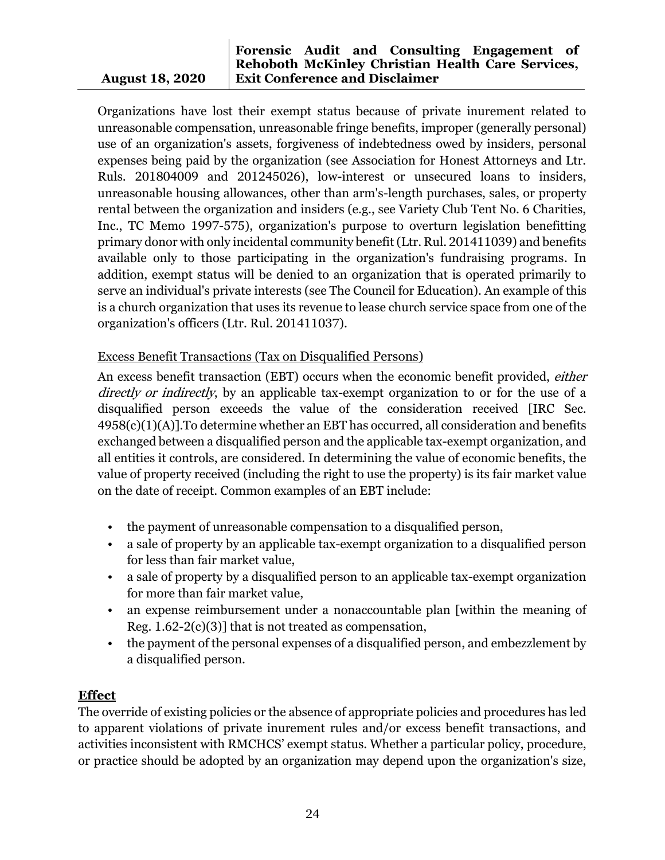#### **Forensic Audit and Consulting Engagement of Rehoboth McKinley Christian Health Care Services, Exit Conference and Disclaimer**

Organizations have lost their exempt status because of private inurement related to unreasonable compensation, unreasonable fringe benefits, improper (generally personal) use of an organization's assets, forgiveness of indebtedness owed by insiders, personal expenses being paid by the organization (see Association for Honest Attorneys and Ltr. Ruls. 201804009 and 201245026), low-interest or unsecured loans to insiders, unreasonable housing allowances, other than arm's-length purchases, sales, or property rental between the organization and insiders (e.g., see Variety Club Tent No. 6 Charities, Inc., TC Memo 1997-575), organization's purpose to overturn legislation benefitting primary donor with only incidental community benefit (Ltr. Rul. 201411039) and benefits available only to those participating in the organization's fundraising programs. In addition, exempt status will be denied to an organization that is operated primarily to serve an individual's private interests (see The Council for Education). An example of this is a church organization that uses its revenue to lease church service space from one of the organization's officers (Ltr. Rul. 201411037).

## Excess Benefit Transactions (Tax on Disqualified Persons)

An excess benefit transaction (EBT) occurs when the economic benefit provided, *either* directly or indirectly, by an applicable tax-exempt organization to or for the use of a disqualified person exceeds the value of the consideration received [IRC [Sec.](https://checkpoint.riag.com/app/main/docLinkNew?DocID=i2ca1316819d811dcb1a9c7f8ee2eaa77&SrcDocId=T0PPC990%3A202084afae009b5300d-1&feature=ttoc&lastCpReqId=231800&pinpnt=TCODE%3A26584.1&d=d)  [4958\(c\)\(1\)\(A\)\]](https://checkpoint.riag.com/app/main/docLinkNew?DocID=i2ca1316819d811dcb1a9c7f8ee2eaa77&SrcDocId=T0PPC990%3A202084afae009b5300d-1&feature=ttoc&lastCpReqId=231800&pinpnt=TCODE%3A26584.1&d=d).To determine whether an EBT has occurred, all consideration and benefits exchanged between a disqualified person and the applicable tax-exempt organization, and all entities it controls, are considered. In determining the value of economic benefits, the value of property received (including the right to use the property) is its fair market value on the date of receipt. Common examples of an EBT include:

- the payment of unreasonable compensation to a disqualified person,
- a sale of property by an applicable tax-exempt organization to a disqualified person for less than fair market value,
- a sale of property by a disqualified person to an applicable tax-exempt organization for more than fair market value,
- an expense reimbursement under a nonaccountable plan [within the meaning of Reg.  $1.62-2(c)(3)$ ] that is not treated as compensation,
- the payment of the personal expenses of a disqualified person, and embezzlement by a disqualified person.

## **Effect**

The override of existing policies or the absence of appropriate policies and procedures has led to apparent violations of private inurement rules and/or excess benefit transactions, and activities inconsistent with RMCHCS' exempt status. Whether a particular policy, procedure, or practice should be adopted by an organization may depend upon the organization's size,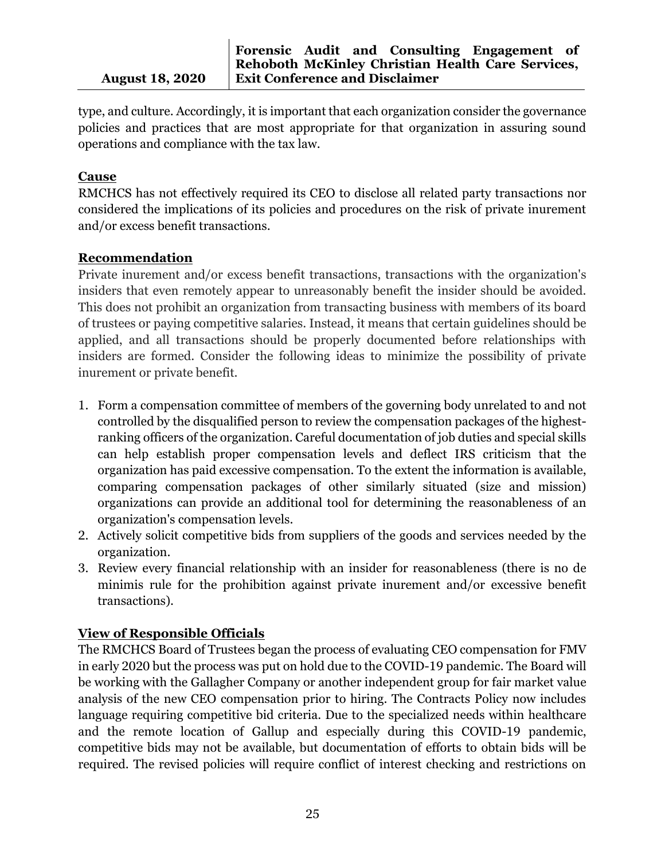type, and culture. Accordingly, it is important that each organization consider the governance policies and practices that are most appropriate for that organization in assuring sound operations and compliance with the tax law.

## **Cause**

RMCHCS has not effectively required its CEO to disclose all related party transactions nor considered the implications of its policies and procedures on the risk of private inurement and/or excess benefit transactions.

## **Recommendation**

Private inurement and/or excess benefit transactions, transactions with the organization's insiders that even remotely appear to unreasonably benefit the insider should be avoided. This does not prohibit an organization from transacting business with members of its board of trustees or paying competitive salaries. Instead, it means that certain guidelines should be applied, and all transactions should be properly documented before relationships with insiders are formed. Consider the following ideas to minimize the possibility of private inurement or private benefit.

- 1. Form a compensation committee of members of the governing body unrelated to and not controlled by the disqualified person to review the compensation packages of the highestranking officers of the organization. Careful documentation of job duties and special skills can help establish proper compensation levels and deflect IRS criticism that the organization has paid excessive compensation. To the extent the information is available, comparing compensation packages of other similarly situated (size and mission) organizations can provide an additional tool for determining the reasonableness of an organization's compensation levels.
- 2. Actively solicit competitive bids from suppliers of the goods and services needed by the organization.
- 3. Review every financial relationship with an insider for reasonableness (there is no de minimis rule for the prohibition against private inurement and/or excessive benefit transactions).

## **View of Responsible Officials**

The RMCHCS Board of Trustees began the process of evaluating CEO compensation for FMV in early 2020 but the process was put on hold due to the COVID-19 pandemic. The Board will be working with the Gallagher Company or another independent group for fair market value analysis of the new CEO compensation prior to hiring. The Contracts Policy now includes language requiring competitive bid criteria. Due to the specialized needs within healthcare and the remote location of Gallup and especially during this COVID-19 pandemic, competitive bids may not be available, but documentation of efforts to obtain bids will be required. The revised policies will require conflict of interest checking and restrictions on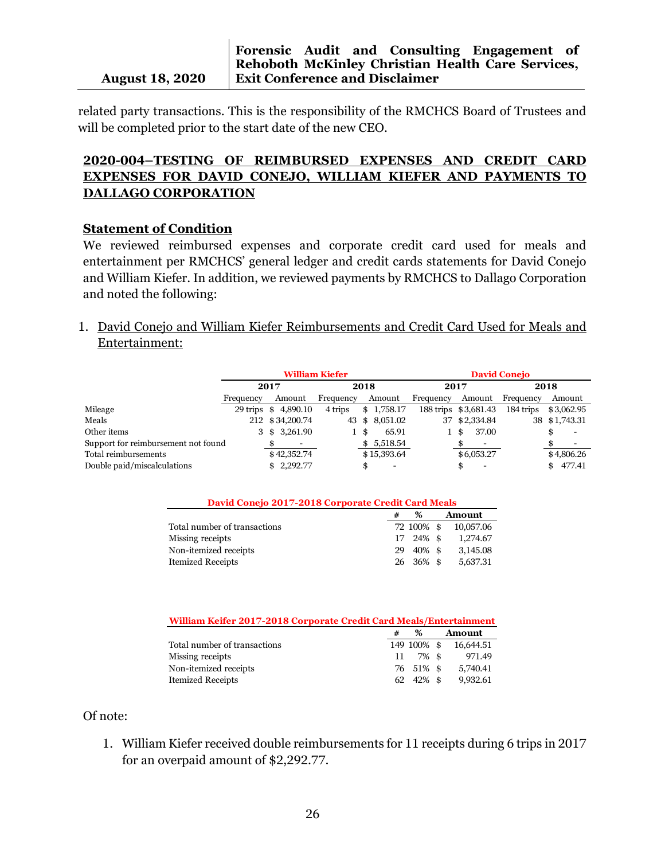related party transactions. This is the responsibility of the RMCHCS Board of Trustees and will be completed prior to the start date of the new CEO.

## **2020-004–TESTING OF REIMBURSED EXPENSES AND CREDIT CARD EXPENSES FOR DAVID CONEJO, WILLIAM KIEFER AND PAYMENTS TO DALLAGO CORPORATION**

#### **Statement of Condition**

We reviewed reimbursed expenses and corporate credit card used for meals and entertainment per RMCHCS' general ledger and credit cards statements for David Conejo and William Kiefer. In addition, we reviewed payments by RMCHCS to Dallago Corporation and noted the following:

1. David Conejo and William Kiefer Reimbursements and Credit Card Used for Meals and Entertainment:

|                                     | <b>William Kiefer</b> |                     |           |                | <b>David Conejo</b> |                      |           |               |  |
|-------------------------------------|-----------------------|---------------------|-----------|----------------|---------------------|----------------------|-----------|---------------|--|
|                                     |                       | 2017                |           | 2018           |                     | 2017                 | 2018      |               |  |
|                                     | Frequency             | Amount              | Frequency | Amount         | Frequency           | Amount               | Frequency | Amount        |  |
| Mileage                             |                       | 29 trips \$4,890.10 | 4 trips   | 1,758.17<br>\$ |                     | 188 trips \$3,681.43 | 184 trips | \$3,062.95    |  |
| Meals                               |                       | 212 \$34,200.74     | 43        | 8,051.02<br>\$ |                     | 37 \$2,334.84        |           | 38 \$1,743.31 |  |
| Other items                         |                       | 3 \$ 3,261.90       | 1\$       | 65.91          |                     | 37.00<br>18          |           |               |  |
| Support for reimbursement not found |                       |                     |           | 5,518.54<br>\$ |                     |                      |           |               |  |
| Total reimbursements                |                       | \$42,352.74         |           | \$15,393.64    |                     | \$6,053.27           |           | \$4,806.26    |  |
| Double paid/miscalculations         |                       | \$2,292.77          |           |                |                     | \$                   |           | 477.41        |  |

| David Conejo 2017-2018 Corporate Credit Card Meals |     |            |  |               |  |  |
|----------------------------------------------------|-----|------------|--|---------------|--|--|
|                                                    |     | $\%$       |  | <b>Amount</b> |  |  |
| Total number of transactions                       |     | 72 100% \$ |  | 10,057.06     |  |  |
| Missing receipts                                   |     | 17 24% \$  |  | 1,274.67      |  |  |
| Non-itemized receipts                              | 29. | 40% \$     |  | 3,145.08      |  |  |
| <b>Itemized Receipts</b>                           |     | 26 36% \$  |  | 5,637.31      |  |  |

| William Keifer 2017-2018 Corporate Credit Card Meals/Entertainment |    |                   |  |               |  |  |
|--------------------------------------------------------------------|----|-------------------|--|---------------|--|--|
|                                                                    |    | $\%$              |  | <b>Amount</b> |  |  |
| Total number of transactions                                       |    | 149 100% \$       |  | 16.644.51     |  |  |
| Missing receipts                                                   | 11 | 7% \$             |  | 971.49        |  |  |
| Non-itemized receipts                                              |    | 76 51% \$         |  | 5,740.41      |  |  |
| <b>Itemized Receipts</b>                                           |    | $62\quad 42\%$ \$ |  | 9.932.61      |  |  |

#### Of note:

1. William Kiefer received double reimbursements for 11 receipts during 6 trips in 2017 for an overpaid amount of \$2,292.77.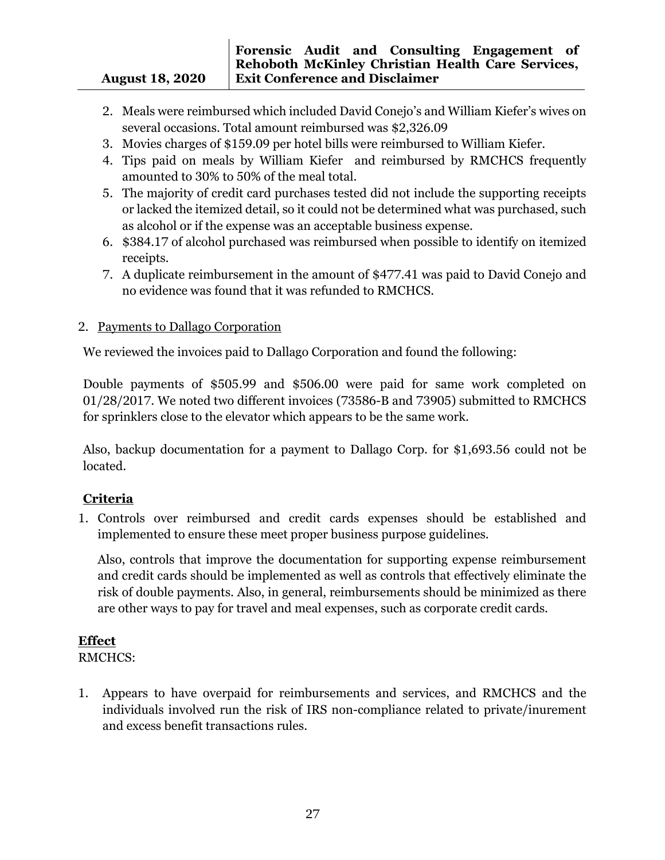- 2. Meals were reimbursed which included David Conejo's and William Kiefer's wives on several occasions. Total amount reimbursed was \$2,326.09
- 3. Movies charges of \$159.09 per hotel bills were reimbursed to William Kiefer.
- 4. Tips paid on meals by William Kiefer and reimbursed by RMCHCS frequently amounted to 30% to 50% of the meal total.
- 5. The majority of credit card purchases tested did not include the supporting receipts or lacked the itemized detail, so it could not be determined what was purchased, such as alcohol or if the expense was an acceptable business expense.
- 6. \$384.17 of alcohol purchased was reimbursed when possible to identify on itemized receipts.
- 7. A duplicate reimbursement in the amount of \$477.41 was paid to David Conejo and no evidence was found that it was refunded to RMCHCS.

## 2. Payments to Dallago Corporation

We reviewed the invoices paid to Dallago Corporation and found the following:

Double payments of \$505.99 and \$506.00 were paid for same work completed on 01/28/2017. We noted two different invoices (73586-B and 73905) submitted to RMCHCS for sprinklers close to the elevator which appears to be the same work.

Also, backup documentation for a payment to Dallago Corp. for \$1,693.56 could not be located.

## **Criteria**

1. Controls over reimbursed and credit cards expenses should be established and implemented to ensure these meet proper business purpose guidelines.

Also, controls that improve the documentation for supporting expense reimbursement and credit cards should be implemented as well as controls that effectively eliminate the risk of double payments. Also, in general, reimbursements should be minimized as there are other ways to pay for travel and meal expenses, such as corporate credit cards.

## **Effect**

RMCHCS:

1. Appears to have overpaid for reimbursements and services, and RMCHCS and the individuals involved run the risk of IRS non-compliance related to private/inurement and excess benefit transactions rules.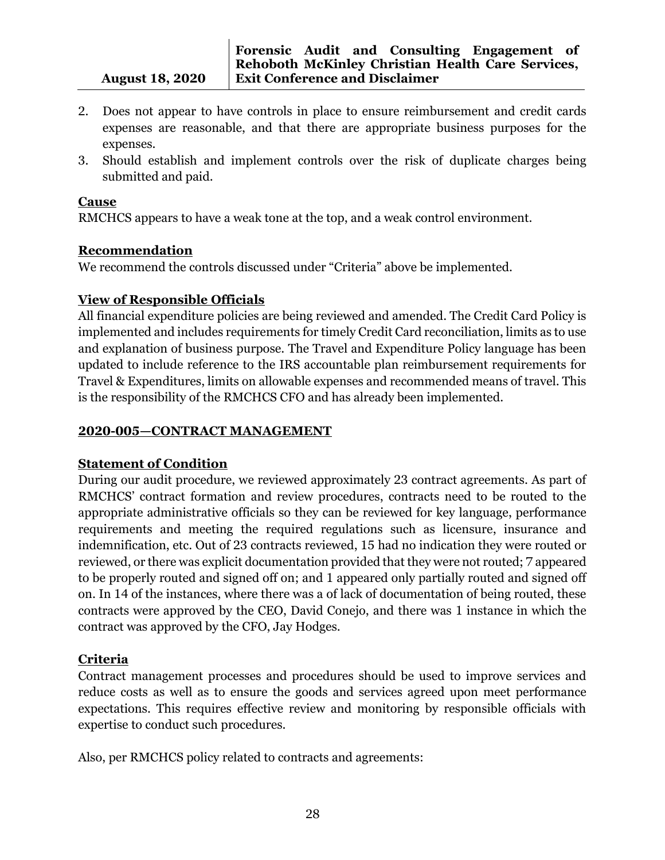- 2. Does not appear to have controls in place to ensure reimbursement and credit cards expenses are reasonable, and that there are appropriate business purposes for the expenses.
- 3. Should establish and implement controls over the risk of duplicate charges being submitted and paid.

#### **Cause**

RMCHCS appears to have a weak tone at the top, and a weak control environment.

## **Recommendation**

We recommend the controls discussed under "Criteria" above be implemented.

## **View of Responsible Officials**

All financial expenditure policies are being reviewed and amended. The Credit Card Policy is implemented and includes requirements for timely Credit Card reconciliation, limits as to use and explanation of business purpose. The Travel and Expenditure Policy language has been updated to include reference to the IRS accountable plan reimbursement requirements for Travel & Expenditures, limits on allowable expenses and recommended means of travel. This is the responsibility of the RMCHCS CFO and has already been implemented.

## **2020-005—CONTRACT MANAGEMENT**

## **Statement of Condition**

During our audit procedure, we reviewed approximately 23 contract agreements. As part of RMCHCS' contract formation and review procedures, contracts need to be routed to the appropriate administrative officials so they can be reviewed for key language, performance requirements and meeting the required regulations such as licensure, insurance and indemnification, etc. Out of 23 contracts reviewed, 15 had no indication they were routed or reviewed, or there was explicit documentation provided that they were not routed; 7 appeared to be properly routed and signed off on; and 1 appeared only partially routed and signed off on. In 14 of the instances, where there was a of lack of documentation of being routed, these contracts were approved by the CEO, David Conejo, and there was 1 instance in which the contract was approved by the CFO, Jay Hodges.

## **Criteria**

Contract management processes and procedures should be used to improve services and reduce costs as well as to ensure the goods and services agreed upon meet performance expectations. This requires effective review and monitoring by responsible officials with expertise to conduct such procedures.

Also, per RMCHCS policy related to contracts and agreements: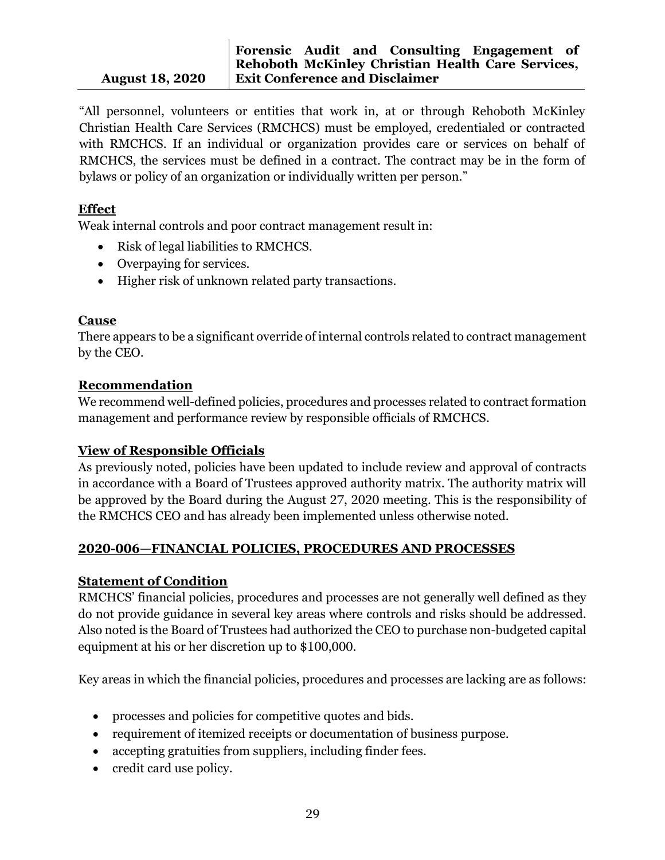"All personnel, volunteers or entities that work in, at or through Rehoboth McKinley Christian Health Care Services (RMCHCS) must be employed, credentialed or contracted with RMCHCS. If an individual or organization provides care or services on behalf of RMCHCS, the services must be defined in a contract. The contract may be in the form of bylaws or policy of an organization or individually written per person."

## **Effect**

Weak internal controls and poor contract management result in:

- Risk of legal liabilities to RMCHCS.
- Overpaying for services.
- Higher risk of unknown related party transactions.

## **Cause**

There appears to be a significant override of internal controls related to contract management by the CEO.

## **Recommendation**

We recommend well-defined policies, procedures and processes related to contract formation management and performance review by responsible officials of RMCHCS.

## **View of Responsible Officials**

As previously noted, policies have been updated to include review and approval of contracts in accordance with a Board of Trustees approved authority matrix. The authority matrix will be approved by the Board during the August 27, 2020 meeting. This is the responsibility of the RMCHCS CEO and has already been implemented unless otherwise noted.

#### **2020-006—FINANCIAL POLICIES, PROCEDURES AND PROCESSES**

#### **Statement of Condition**

RMCHCS' financial policies, procedures and processes are not generally well defined as they do not provide guidance in several key areas where controls and risks should be addressed. Also noted is the Board of Trustees had authorized the CEO to purchase non-budgeted capital equipment at his or her discretion up to \$100,000.

Key areas in which the financial policies, procedures and processes are lacking are as follows:

- processes and policies for competitive quotes and bids.
- requirement of itemized receipts or documentation of business purpose.
- accepting gratuities from suppliers, including finder fees.
- credit card use policy.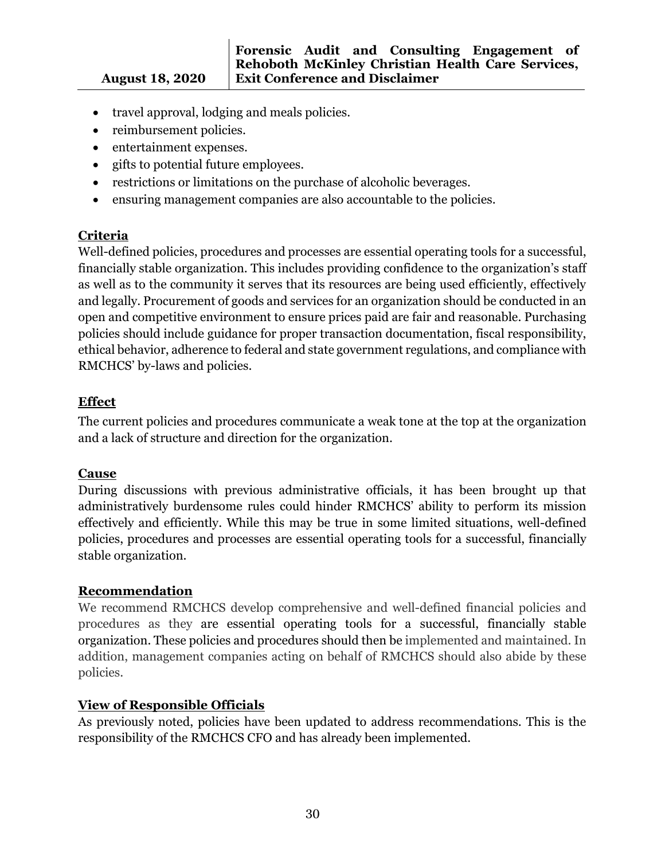- travel approval, lodging and meals policies.
- reimbursement policies.
- entertainment expenses.
- gifts to potential future employees.
- restrictions or limitations on the purchase of alcoholic beverages.
- ensuring management companies are also accountable to the policies.

## **Criteria**

Well-defined policies, procedures and processes are essential operating tools for a successful, financially stable organization. This includes providing confidence to the organization's staff as well as to the community it serves that its resources are being used efficiently, effectively and legally. Procurement of goods and services for an organization should be conducted in an open and competitive environment to ensure prices paid are fair and reasonable. Purchasing policies should include guidance for proper transaction documentation, fiscal responsibility, ethical behavior, adherence to federal and state government regulations, and compliance with RMCHCS' by-laws and policies.

## **Effect**

The current policies and procedures communicate a weak tone at the top at the organization and a lack of structure and direction for the organization.

#### **Cause**

During discussions with previous administrative officials, it has been brought up that administratively burdensome rules could hinder RMCHCS' ability to perform its mission effectively and efficiently. While this may be true in some limited situations, well-defined policies, procedures and processes are essential operating tools for a successful, financially stable organization.

## **Recommendation**

We recommend RMCHCS develop comprehensive and well-defined financial policies and procedures as they are essential operating tools for a successful, financially stable organization. These policies and procedures should then be implemented and maintained. In addition, management companies acting on behalf of RMCHCS should also abide by these policies.

## **View of Responsible Officials**

As previously noted, policies have been updated to address recommendations. This is the responsibility of the RMCHCS CFO and has already been implemented.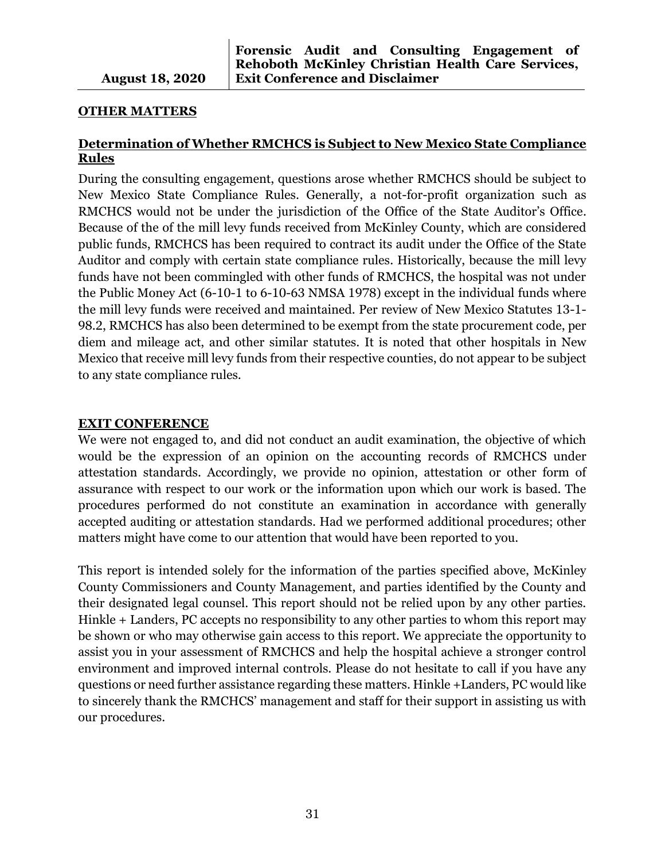#### **OTHER MATTERS**

## **Determination of Whether RMCHCS is Subject to New Mexico State Compliance Rules**

During the consulting engagement, questions arose whether RMCHCS should be subject to New Mexico State Compliance Rules. Generally, a not-for-profit organization such as RMCHCS would not be under the jurisdiction of the Office of the State Auditor's Office. Because of the of the mill levy funds received from McKinley County, which are considered public funds, RMCHCS has been required to contract its audit under the Office of the State Auditor and comply with certain state compliance rules. Historically, because the mill levy funds have not been commingled with other funds of RMCHCS, the hospital was not under the Public Money Act (6-10-1 to 6-10-63 NMSA 1978) except in the individual funds where the mill levy funds were received and maintained. Per review of New Mexico Statutes 13-1- 98.2, RMCHCS has also been determined to be exempt from the state procurement code, per diem and mileage act, and other similar statutes. It is noted that other hospitals in New Mexico that receive mill levy funds from their respective counties, do not appear to be subject to any state compliance rules.

#### **EXIT CONFERENCE**

We were not engaged to, and did not conduct an audit examination, the objective of which would be the expression of an opinion on the accounting records of RMCHCS under attestation standards. Accordingly, we provide no opinion, attestation or other form of assurance with respect to our work or the information upon which our work is based. The procedures performed do not constitute an examination in accordance with generally accepted auditing or attestation standards. Had we performed additional procedures; other matters might have come to our attention that would have been reported to you.

This report is intended solely for the information of the parties specified above, McKinley County Commissioners and County Management, and parties identified by the County and their designated legal counsel. This report should not be relied upon by any other parties. Hinkle + Landers, PC accepts no responsibility to any other parties to whom this report may be shown or who may otherwise gain access to this report. We appreciate the opportunity to assist you in your assessment of RMCHCS and help the hospital achieve a stronger control environment and improved internal controls. Please do not hesitate to call if you have any questions or need further assistance regarding these matters. Hinkle +Landers, PC would like to sincerely thank the RMCHCS' management and staff for their support in assisting us with our procedures.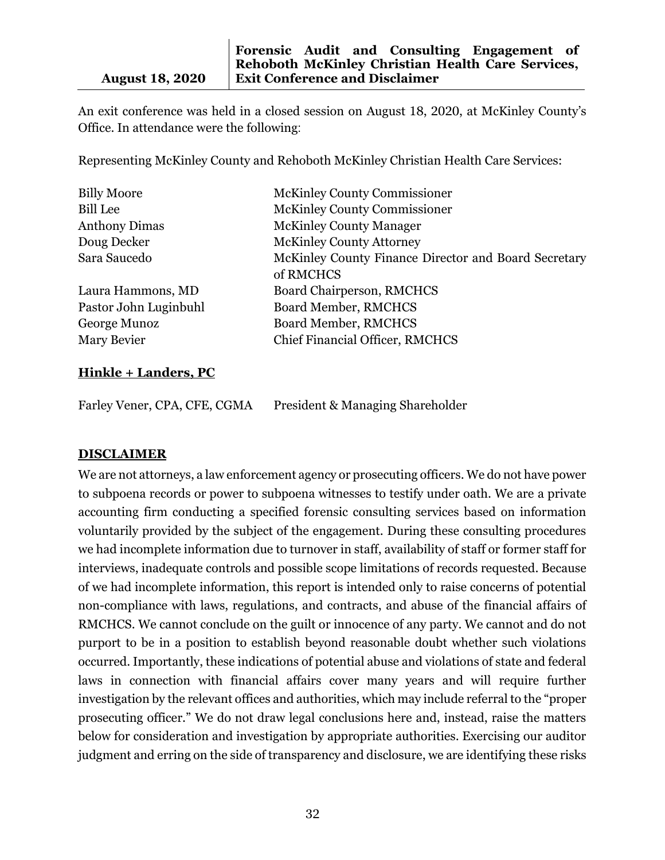An exit conference was held in a closed session on August 18, 2020, at McKinley County's Office. In attendance were the following:

Representing McKinley County and Rehoboth McKinley Christian Health Care Services:

| <b>Billy Moore</b>    | <b>McKinley County Commissioner</b>                  |
|-----------------------|------------------------------------------------------|
| <b>Bill Lee</b>       | <b>McKinley County Commissioner</b>                  |
| <b>Anthony Dimas</b>  | <b>McKinley County Manager</b>                       |
| Doug Decker           | <b>McKinley County Attorney</b>                      |
| Sara Saucedo          | McKinley County Finance Director and Board Secretary |
|                       | of RMCHCS                                            |
| Laura Hammons, MD     | Board Chairperson, RMCHCS                            |
| Pastor John Luginbuhl | <b>Board Member, RMCHCS</b>                          |
| George Munoz          | <b>Board Member, RMCHCS</b>                          |
| Mary Bevier           | <b>Chief Financial Officer, RMCHCS</b>               |
|                       |                                                      |

#### **Hinkle + Landers, PC**

Farley Vener, CPA, CFE, CGMA President & Managing Shareholder

#### **DISCLAIMER**

We are not attorneys, a law enforcement agency or prosecuting officers. We do not have power to subpoena records or power to subpoena witnesses to testify under oath. We are a private accounting firm conducting a specified forensic consulting services based on information voluntarily provided by the subject of the engagement. During these consulting procedures we had incomplete information due to turnover in staff, availability of staff or former staff for interviews, inadequate controls and possible scope limitations of records requested. Because of we had incomplete information, this report is intended only to raise concerns of potential non-compliance with laws, regulations, and contracts, and abuse of the financial affairs of RMCHCS. We cannot conclude on the guilt or innocence of any party. We cannot and do not purport to be in a position to establish beyond reasonable doubt whether such violations occurred. Importantly, these indications of potential abuse and violations of state and federal laws in connection with financial affairs cover many years and will require further investigation by the relevant offices and authorities, which may include referral to the "proper prosecuting officer." We do not draw legal conclusions here and, instead, raise the matters below for consideration and investigation by appropriate authorities. Exercising our auditor judgment and erring on the side of transparency and disclosure, we are identifying these risks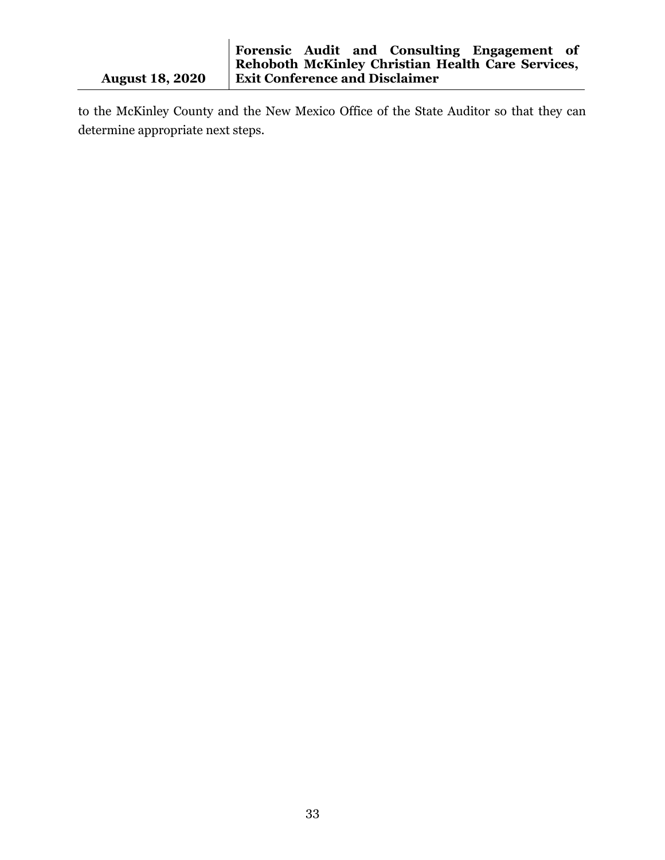to the McKinley County and the New Mexico Office of the State Auditor so that they can determine appropriate next steps.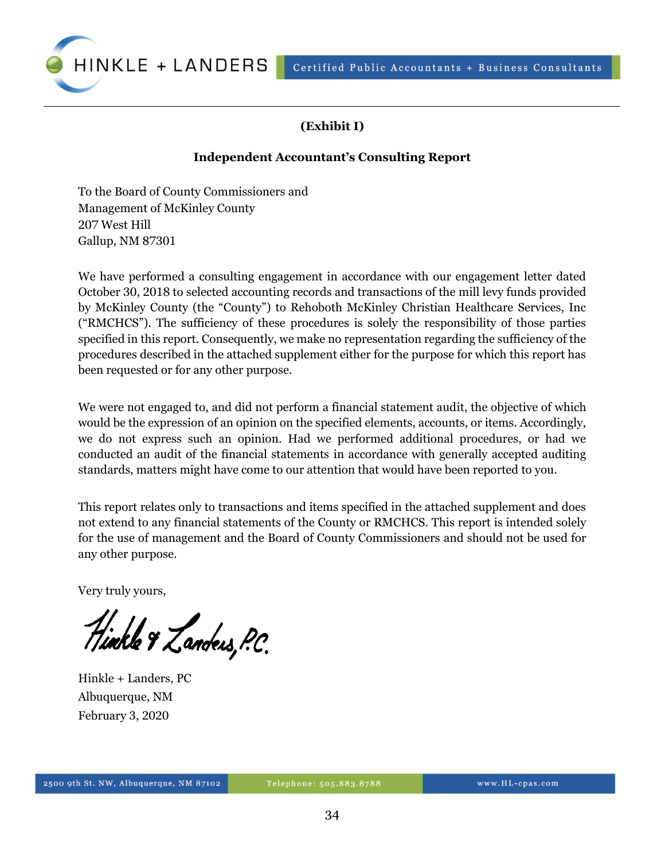Certified Public Accountants + Business Consultants



## **(Exhibit I)**

#### **Independent Accountant's Consulting Report**

To the Board of County Commissioners and Management of McKinley County 207 West Hill Gallup, NM 87301

We have performed a consulting engagement in accordance with our engagement letter dated October 30, 2018 to selected accounting records and transactions of the mill levy funds provided by McKinley County (the "County") to Rehoboth McKinley Christian Healthcare Services, Inc ("RMCHCS"). The sufficiency of these procedures is solely the responsibility of those parties specified in this report. Consequently, we make no representation regarding the sufficiency of the procedures described in the attached supplement either for the purpose for which this report has been requested or for any other purpose.

We were not engaged to, and did not perform a financial statement audit, the objective of which would be the expression of an opinion on the specified elements, accounts, or items. Accordingly, we do not express such an opinion. Had we performed additional procedures, or had we conducted an audit of the financial statements in accordance with generally accepted auditing standards, matters might have come to our attention that would have been reported to you.

This report relates only to transactions and items specified in the attached supplement and does not extend to any financial statements of the County or RMCHCS. This report is intended solely for the use of management and the Board of County Commissioners and should not be used for any other purpose.

Very truly yours,

11.<br>Tinkle & Zanders, P.C.

Hinkle + Landers, PC Albuquerque, NM February 3, 2020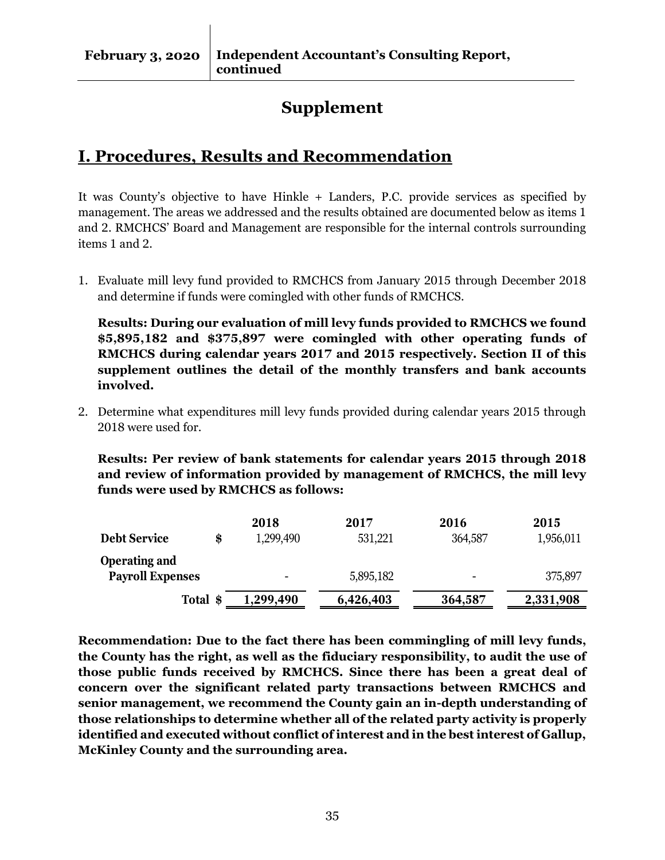# **Supplement**

# **I. Procedures, Results and Recommendation**

It was County's objective to have Hinkle + Landers, P.C. provide services as specified by management. The areas we addressed and the results obtained are documented below as items 1 and 2. RMCHCS' Board and Management are responsible for the internal controls surrounding items 1 and 2.

1. Evaluate mill levy fund provided to RMCHCS from January 2015 through December 2018 and determine if funds were comingled with other funds of RMCHCS.

**Results: During our evaluation of mill levy funds provided to RMCHCS we found \$5,895,182 and \$375,897 were comingled with other operating funds of RMCHCS during calendar years 2017 and 2015 respectively. Section II of this supplement outlines the detail of the monthly transfers and bank accounts involved.**

2. Determine what expenditures mill levy funds provided during calendar years 2015 through 2018 were used for.

**Results: Per review of bank statements for calendar years 2015 through 2018 and review of information provided by management of RMCHCS, the mill levy funds were used by RMCHCS as follows:**

|                           | 2018                     | 2017      | 2016                     | 2015      |
|---------------------------|--------------------------|-----------|--------------------------|-----------|
| <b>Debt Service</b><br>\$ | 1,299,490                | 531,221   | 364,587                  | 1,956,011 |
| <b>Operating and</b>      |                          |           |                          |           |
| <b>Payroll Expenses</b>   | $\overline{\phantom{0}}$ | 5,895,182 | $\overline{\phantom{0}}$ | 375,897   |
| Total \$                  | ,299,490                 | 6,426,403 | 364,587                  | 2,331,908 |

**Recommendation: Due to the fact there has been commingling of mill levy funds, the County has the right, as well as the fiduciary responsibility, to audit the use of those public funds received by RMCHCS. Since there has been a great deal of concern over the significant related party transactions between RMCHCS and senior management, we recommend the County gain an in-depth understanding of those relationships to determine whether all of the related party activity is properly identified and executed without conflict of interest and in the best interest of Gallup, McKinley County and the surrounding area.**